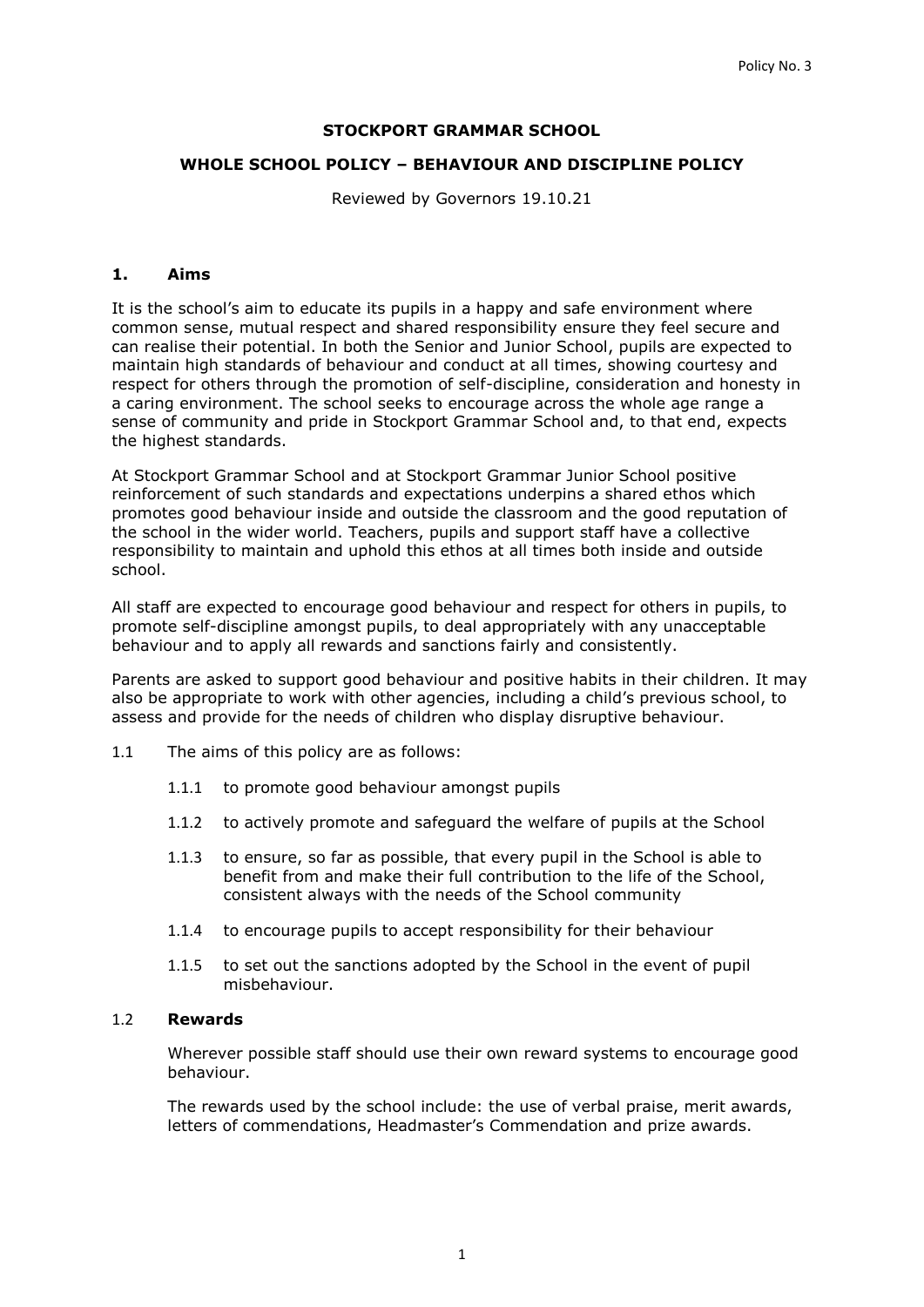### **STOCKPORT GRAMMAR SCHOOL**

#### **WHOLE SCHOOL POLICY – BEHAVIOUR AND DISCIPLINE POLICY**

Reviewed by Governors 19.10.21

#### **1. Aims**

It is the school's aim to educate its pupils in a happy and safe environment where common sense, mutual respect and shared responsibility ensure they feel secure and can realise their potential. In both the Senior and Junior School, pupils are expected to maintain high standards of behaviour and conduct at all times, showing courtesy and respect for others through the promotion of self-discipline, consideration and honesty in a caring environment. The school seeks to encourage across the whole age range a sense of community and pride in Stockport Grammar School and, to that end, expects the highest standards.

At Stockport Grammar School and at Stockport Grammar Junior School positive reinforcement of such standards and expectations underpins a shared ethos which promotes good behaviour inside and outside the classroom and the good reputation of the school in the wider world. Teachers, pupils and support staff have a collective responsibility to maintain and uphold this ethos at all times both inside and outside school.

All staff are expected to encourage good behaviour and respect for others in pupils, to promote self-discipline amongst pupils, to deal appropriately with any unacceptable behaviour and to apply all rewards and sanctions fairly and consistently.

Parents are asked to support good behaviour and positive habits in their children. It may also be appropriate to work with other agencies, including a child's previous school, to assess and provide for the needs of children who display disruptive behaviour.

- 1.1 The aims of this policy are as follows:
	- 1.1.1 to promote good behaviour amongst pupils
	- 1.1.2 to actively promote and safeguard the welfare of pupils at the School
	- 1.1.3 to ensure, so far as possible, that every pupil in the School is able to benefit from and make their full contribution to the life of the School, consistent always with the needs of the School community
	- 1.1.4 to encourage pupils to accept responsibility for their behaviour
	- 1.1.5 to set out the sanctions adopted by the School in the event of pupil misbehaviour.

#### 1.2 **Rewards**

Wherever possible staff should use their own reward systems to encourage good behaviour.

The rewards used by the school include: the use of verbal praise, merit awards, letters of commendations, Headmaster's Commendation and prize awards.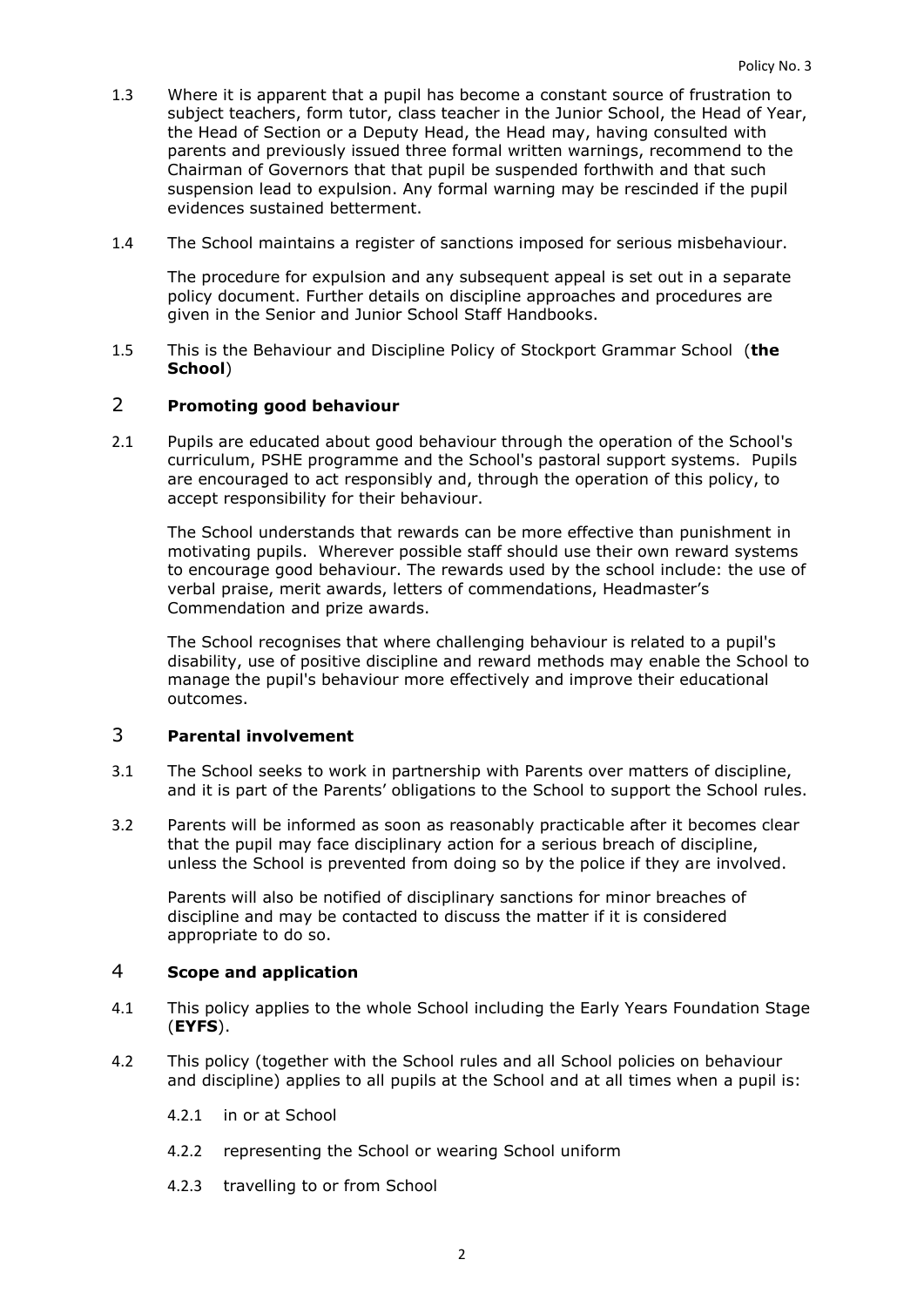- 1.3 Where it is apparent that a pupil has become a constant source of frustration to subject teachers, form tutor, class teacher in the Junior School, the Head of Year, the Head of Section or a Deputy Head, the Head may, having consulted with parents and previously issued three formal written warnings, recommend to the Chairman of Governors that that pupil be suspended forthwith and that such suspension lead to expulsion. Any formal warning may be rescinded if the pupil evidences sustained betterment.
- 1.4 The School maintains a register of sanctions imposed for serious misbehaviour.

The procedure for expulsion and any subsequent appeal is set out in a separate policy document. Further details on discipline approaches and procedures are given in the Senior and Junior School Staff Handbooks.

1.5 This is the Behaviour and Discipline Policy of Stockport Grammar School (**the School**)

## 2 **Promoting good behaviour**

2.1 Pupils are educated about good behaviour through the operation of the School's curriculum, PSHE programme and the School's pastoral support systems. Pupils are encouraged to act responsibly and, through the operation of this policy, to accept responsibility for their behaviour.

The School understands that rewards can be more effective than punishment in motivating pupils. Wherever possible staff should use their own reward systems to encourage good behaviour. The rewards used by the school include: the use of verbal praise, merit awards, letters of commendations, Headmaster's Commendation and prize awards.

The School recognises that where challenging behaviour is related to a pupil's disability, use of positive discipline and reward methods may enable the School to manage the pupil's behaviour more effectively and improve their educational outcomes.

### 3 **Parental involvement**

- 3.1 The School seeks to work in partnership with Parents over matters of discipline, and it is part of the Parents' obligations to the School to support the School rules.
- 3.2 Parents will be informed as soon as reasonably practicable after it becomes clear that the pupil may face disciplinary action for a serious breach of discipline, unless the School is prevented from doing so by the police if they are involved.

Parents will also be notified of disciplinary sanctions for minor breaches of discipline and may be contacted to discuss the matter if it is considered appropriate to do so.

## 4 **Scope and application**

- 4.1 This policy applies to the whole School including the Early Years Foundation Stage (**EYFS**).
- 4.2 This policy (together with the School rules and all School policies on behaviour and discipline) applies to all pupils at the School and at all times when a pupil is:
	- 4.2.1 in or at School
	- 4.2.2 representing the School or wearing School uniform
	- 4.2.3 travelling to or from School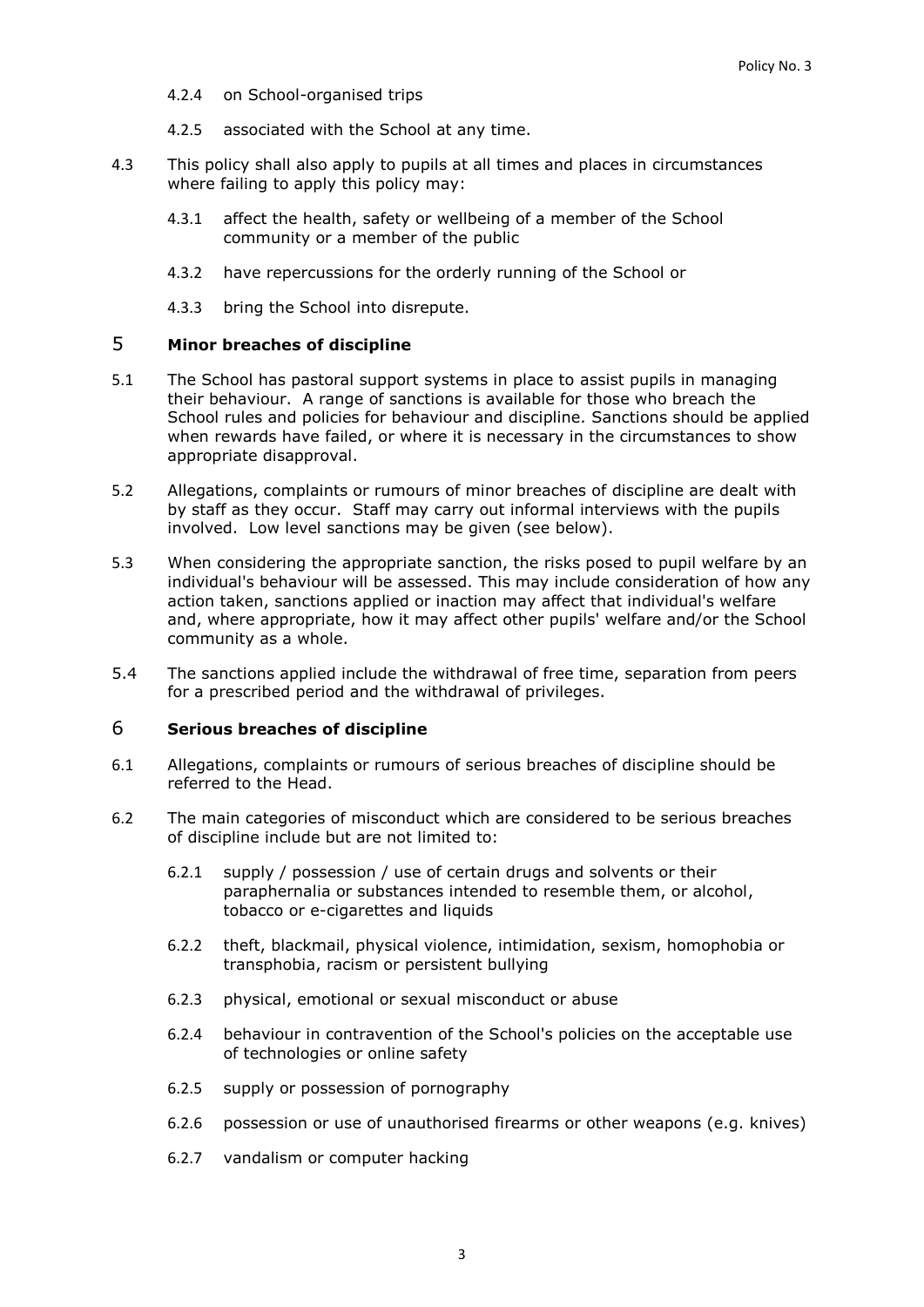- 4.2.4 on School-organised trips
- 4.2.5 associated with the School at any time.
- 4.3 This policy shall also apply to pupils at all times and places in circumstances where failing to apply this policy may:
	- 4.3.1 affect the health, safety or wellbeing of a member of the School community or a member of the public
	- 4.3.2 have repercussions for the orderly running of the School or
	- 4.3.3 bring the School into disrepute.

### 5 **Minor breaches of discipline**

- 5.1 The School has pastoral support systems in place to assist pupils in managing their behaviour. A range of sanctions is available for those who breach the School rules and policies for behaviour and discipline. Sanctions should be applied when rewards have failed, or where it is necessary in the circumstances to show appropriate disapproval.
- 5.2 Allegations, complaints or rumours of minor breaches of discipline are dealt with by staff as they occur. Staff may carry out informal interviews with the pupils involved. Low level sanctions may be given (see below).
- 5.3 When considering the appropriate sanction, the risks posed to pupil welfare by an individual's behaviour will be assessed. This may include consideration of how any action taken, sanctions applied or inaction may affect that individual's welfare and, where appropriate, how it may affect other pupils' welfare and/or the School community as a whole.
- 5.4 The sanctions applied include the withdrawal of free time, separation from peers for a prescribed period and the withdrawal of privileges.

#### 6 **Serious breaches of discipline**

- 6.1 Allegations, complaints or rumours of serious breaches of discipline should be referred to the Head.
- 6.2 The main categories of misconduct which are considered to be serious breaches of discipline include but are not limited to:
	- 6.2.1 supply / possession / use of certain drugs and solvents or their paraphernalia or substances intended to resemble them, or alcohol, tobacco or e-cigarettes and liquids
	- 6.2.2 theft, blackmail, physical violence, intimidation, sexism, homophobia or transphobia, racism or persistent bullying
	- 6.2.3 physical, emotional or sexual misconduct or abuse
	- 6.2.4 behaviour in contravention of the School's policies on the acceptable use of technologies or online safety
	- 6.2.5 supply or possession of pornography
	- 6.2.6 possession or use of unauthorised firearms or other weapons (e.g. knives)
	- 6.2.7 vandalism or computer hacking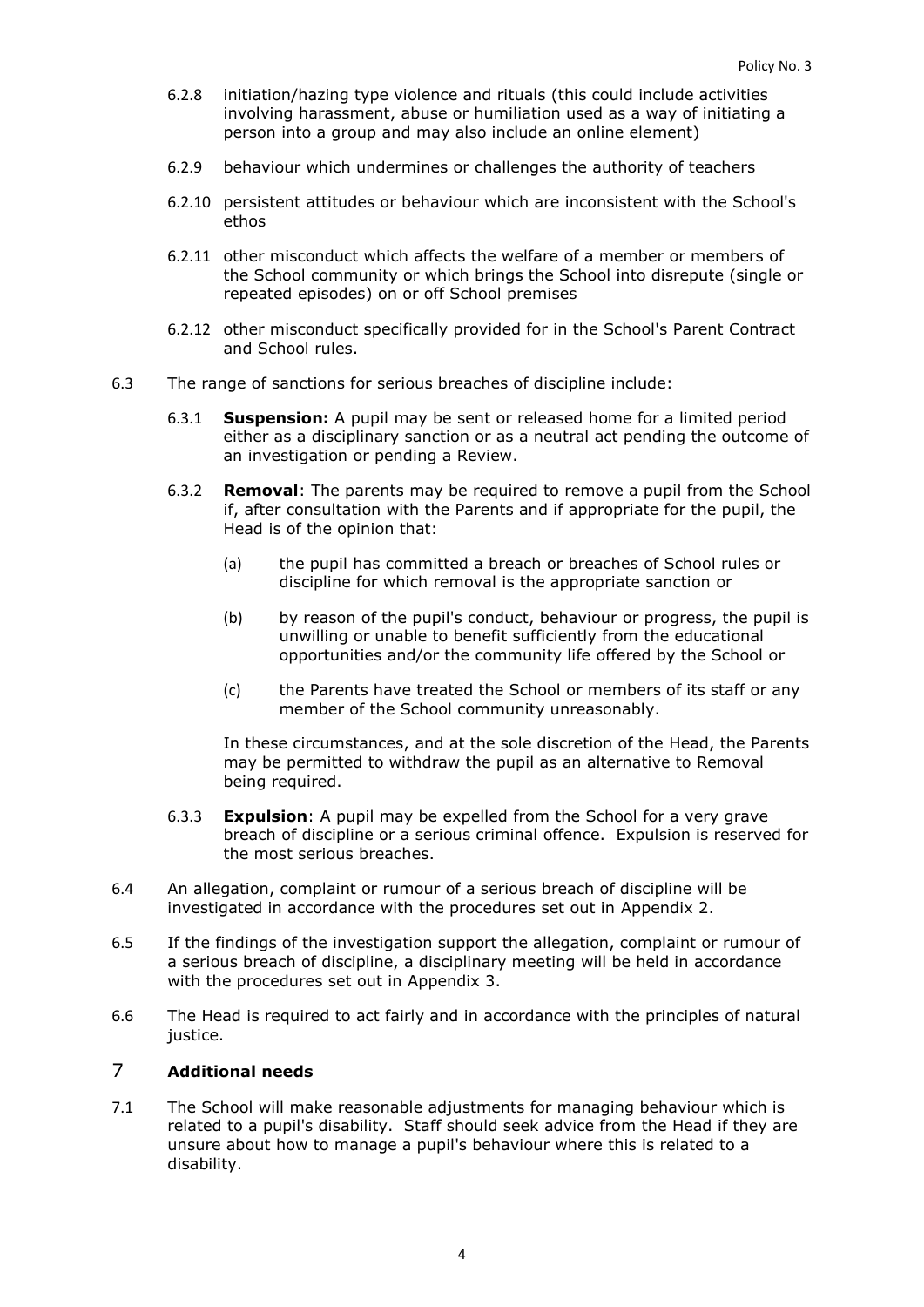- 6.2.8 initiation/hazing type violence and rituals (this could include activities involving harassment, abuse or humiliation used as a way of initiating a person into a group and may also include an online element)
- 6.2.9 behaviour which undermines or challenges the authority of teachers
- 6.2.10 persistent attitudes or behaviour which are inconsistent with the School's ethos
- 6.2.11 other misconduct which affects the welfare of a member or members of the School community or which brings the School into disrepute (single or repeated episodes) on or off School premises
- 6.2.12 other misconduct specifically provided for in the School's Parent Contract and School rules.
- 6.3 The range of sanctions for serious breaches of discipline include:
	- 6.3.1 **Suspension:** A pupil may be sent or released home for a limited period either as a disciplinary sanction or as a neutral act pending the outcome of an investigation or pending a Review.
	- 6.3.2 **Removal**: The parents may be required to remove a pupil from the School if, after consultation with the Parents and if appropriate for the pupil, the Head is of the opinion that:
		- (a) the pupil has committed a breach or breaches of School rules or discipline for which removal is the appropriate sanction or
		- (b) by reason of the pupil's conduct, behaviour or progress, the pupil is unwilling or unable to benefit sufficiently from the educational opportunities and/or the community life offered by the School or
		- (c) the Parents have treated the School or members of its staff or any member of the School community unreasonably.

In these circumstances, and at the sole discretion of the Head, the Parents may be permitted to withdraw the pupil as an alternative to Removal being required.

- 6.3.3 **Expulsion**: A pupil may be expelled from the School for a very grave breach of discipline or a serious criminal offence. Expulsion is reserved for the most serious breaches.
- 6.4 An allegation, complaint or rumour of a serious breach of discipline will be investigated in accordance with the procedures set out in [Appendix 2.](#page-14-0)
- 6.5 If the findings of the investigation support the allegation, complaint or rumour of a serious breach of discipline, a disciplinary meeting will be held in accordance with the procedures set out in [Appendix 3.](#page-15-0)
- 6.6 The Head is required to act fairly and in accordance with the principles of natural justice.

# 7 **Additional needs**

7.1 The School will make reasonable adjustments for managing behaviour which is related to a pupil's disability. Staff should seek advice from the Head if they are unsure about how to manage a pupil's behaviour where this is related to a disability.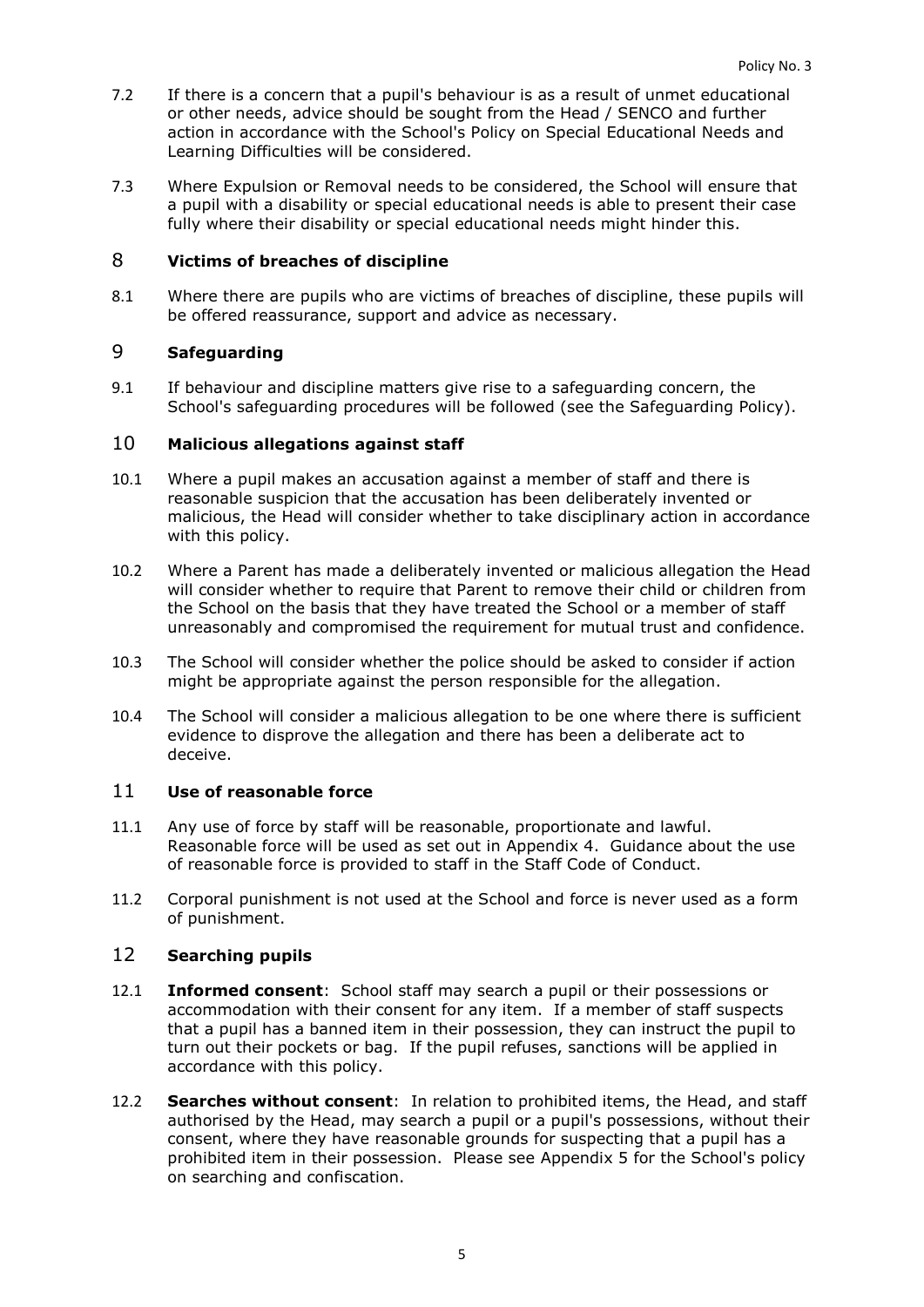- 7.2 If there is a concern that a pupil's behaviour is as a result of unmet educational or other needs, advice should be sought from the Head / SENCO and further action in accordance with the School's Policy on Special Educational Needs and Learning Difficulties will be considered.
- 7.3 Where Expulsion or Removal needs to be considered, the School will ensure that a pupil with a disability or special educational needs is able to present their case fully where their disability or special educational needs might hinder this.

## 8 **Victims of breaches of discipline**

8.1 Where there are pupils who are victims of breaches of discipline, these pupils will be offered reassurance, support and advice as necessary.

# 9 **Safeguarding**

9.1 If behaviour and discipline matters give rise to a safeguarding concern, the School's safeguarding procedures will be followed (see the Safeguarding Policy).

## 10 **Malicious allegations against staff**

- 10.1 Where a pupil makes an accusation against a member of staff and there is reasonable suspicion that the accusation has been deliberately invented or malicious, the Head will consider whether to take disciplinary action in accordance with this policy.
- 10.2 Where a Parent has made a deliberately invented or malicious allegation the Head will consider whether to require that Parent to remove their child or children from the School on the basis that they have treated the School or a member of staff unreasonably and compromised the requirement for mutual trust and confidence.
- 10.3 The School will consider whether the police should be asked to consider if action might be appropriate against the person responsible for the allegation.
- 10.4 The School will consider a malicious allegation to be one where there is sufficient evidence to disprove the allegation and there has been a deliberate act to deceive.

## 11 **Use of reasonable force**

- 11.1 Any use of force by staff will be reasonable, proportionate and lawful. Reasonable force will be used as set out in [Appendix 4.](#page-18-0) Guidance about the use of reasonable force is provided to staff in the Staff Code of Conduct.
- 11.2 Corporal punishment is not used at the School and force is never used as a form of punishment.

#### 12 **Searching pupils**

- 12.1 **Informed consent**: School staff may search a pupil or their possessions or accommodation with their consent for any item. If a member of staff suspects that a pupil has a banned item in their possession, they can instruct the pupil to turn out their pockets or bag. If the pupil refuses, sanctions will be applied in accordance with this policy.
- 12.2 **Searches without consent**: In relation to prohibited items, the Head, and staff authorised by the Head, may search a pupil or a pupil's possessions, without their consent, where they have reasonable grounds for suspecting that a pupil has a prohibited item in their possession. Please see [Appendix 5](#page-19-0) for the School's policy on searching and confiscation.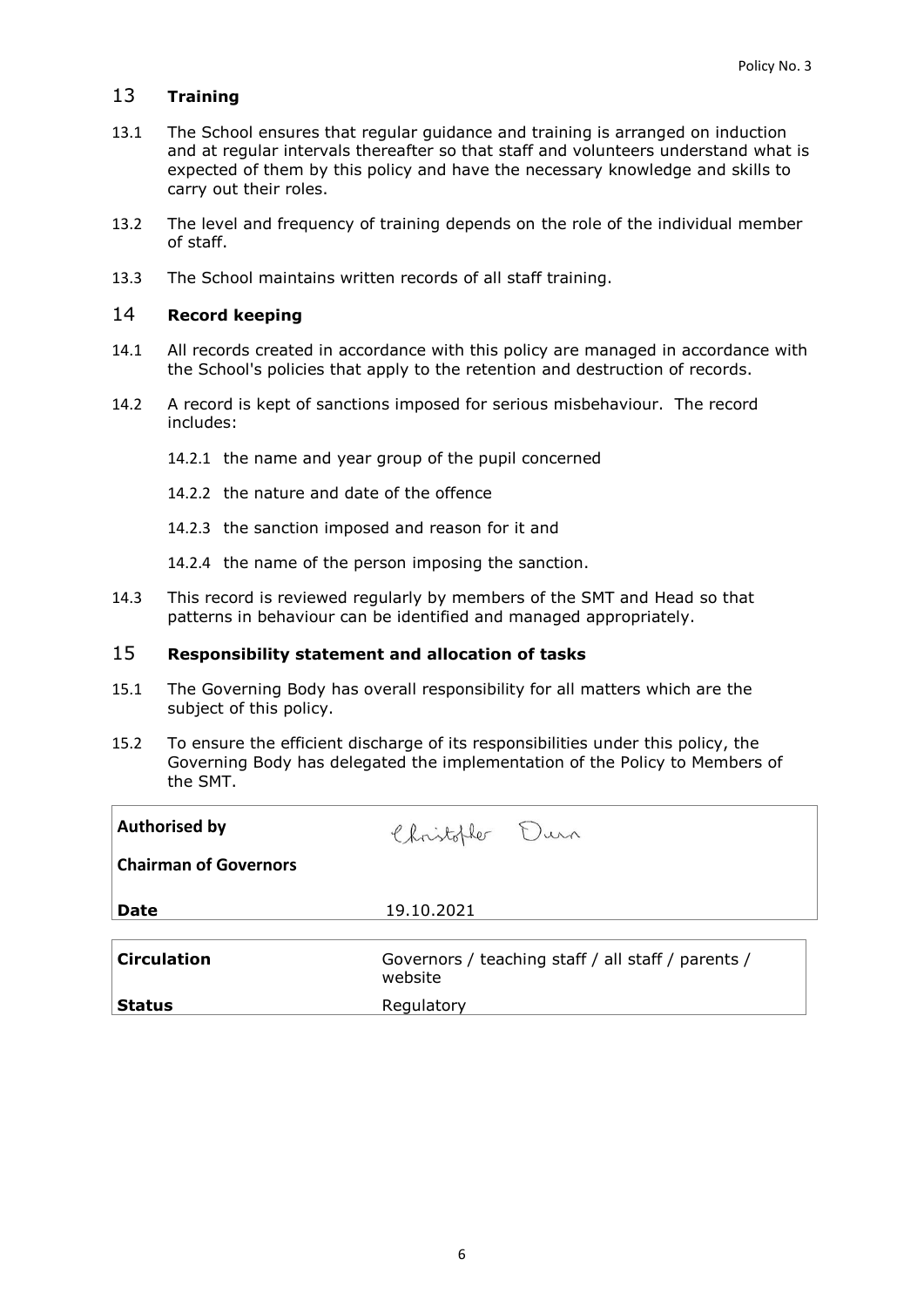## 13 **Training**

- 13.1 The School ensures that regular guidance and training is arranged on induction and at regular intervals thereafter so that staff and volunteers understand what is expected of them by this policy and have the necessary knowledge and skills to carry out their roles.
- 13.2 The level and frequency of training depends on the role of the individual member of staff.
- 13.3 The School maintains written records of all staff training.

## 14 **Record keeping**

- 14.1 All records created in accordance with this policy are managed in accordance with the School's policies that apply to the retention and destruction of records.
- 14.2 A record is kept of sanctions imposed for serious misbehaviour. The record includes:
	- 14.2.1 the name and year group of the pupil concerned
	- 14.2.2 the nature and date of the offence
	- 14.2.3 the sanction imposed and reason for it and
	- 14.2.4 the name of the person imposing the sanction.
- 14.3 This record is reviewed regularly by members of the SMT and Head so that patterns in behaviour can be identified and managed appropriately.

### 15 **Responsibility statement and allocation of tasks**

- 15.1 The Governing Body has overall responsibility for all matters which are the subject of this policy.
- 15.2 To ensure the efficient discharge of its responsibilities under this policy, the Governing Body has delegated the implementation of the Policy to Members of the SMT.

| <b>Authorised by</b>         | Christopher Durn                                              |
|------------------------------|---------------------------------------------------------------|
| <b>Chairman of Governors</b> |                                                               |
| <b>Date</b>                  | 19.10.2021                                                    |
| <b>Circulation</b>           | Governors / teaching staff / all staff / parents /<br>website |
| <b>Status</b>                | Regulatory                                                    |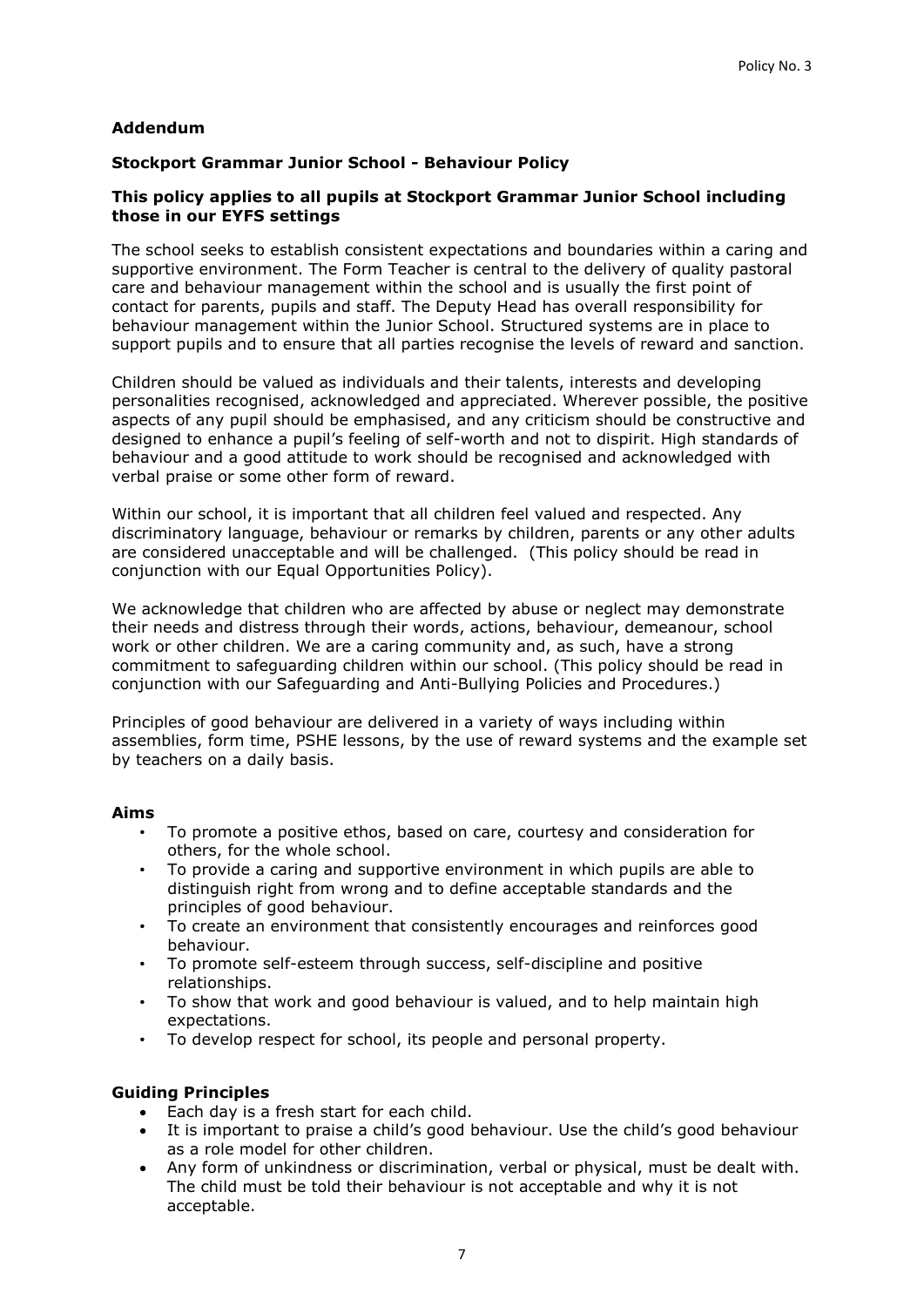## **Addendum**

### **Stockport Grammar Junior School - Behaviour Policy**

### **This policy applies to all pupils at Stockport Grammar Junior School including those in our EYFS settings**

The school seeks to establish consistent expectations and boundaries within a caring and supportive environment. The Form Teacher is central to the delivery of quality pastoral care and behaviour management within the school and is usually the first point of contact for parents, pupils and staff. The Deputy Head has overall responsibility for behaviour management within the Junior School. Structured systems are in place to support pupils and to ensure that all parties recognise the levels of reward and sanction.

Children should be valued as individuals and their talents, interests and developing personalities recognised, acknowledged and appreciated. Wherever possible, the positive aspects of any pupil should be emphasised, and any criticism should be constructive and designed to enhance a pupil's feeling of self-worth and not to dispirit. High standards of behaviour and a good attitude to work should be recognised and acknowledged with verbal praise or some other form of reward.

Within our school, it is important that all children feel valued and respected. Any discriminatory language, behaviour or remarks by children, parents or any other adults are considered unacceptable and will be challenged. (This policy should be read in conjunction with our Equal Opportunities Policy).

We acknowledge that children who are affected by abuse or neglect may demonstrate their needs and distress through their words, actions, behaviour, demeanour, school work or other children. We are a caring community and, as such, have a strong commitment to safeguarding children within our school. (This policy should be read in conjunction with our Safeguarding and Anti-Bullying Policies and Procedures.)

Principles of good behaviour are delivered in a variety of ways including within assemblies, form time, PSHE lessons, by the use of reward systems and the example set by teachers on a daily basis.

#### **Aims**

- To promote a positive ethos, based on care, courtesy and consideration for others, for the whole school.
- To provide a caring and supportive environment in which pupils are able to distinguish right from wrong and to define acceptable standards and the principles of good behaviour.
- To create an environment that consistently encourages and reinforces good behaviour.
- To promote self-esteem through success, self-discipline and positive relationships.
- To show that work and good behaviour is valued, and to help maintain high expectations.
- To develop respect for school, its people and personal property.

#### **Guiding Principles**

- Each day is a fresh start for each child.
- It is important to praise a child's good behaviour. Use the child's good behaviour as a role model for other children.
- Any form of unkindness or discrimination, verbal or physical, must be dealt with. The child must be told their behaviour is not acceptable and why it is not acceptable.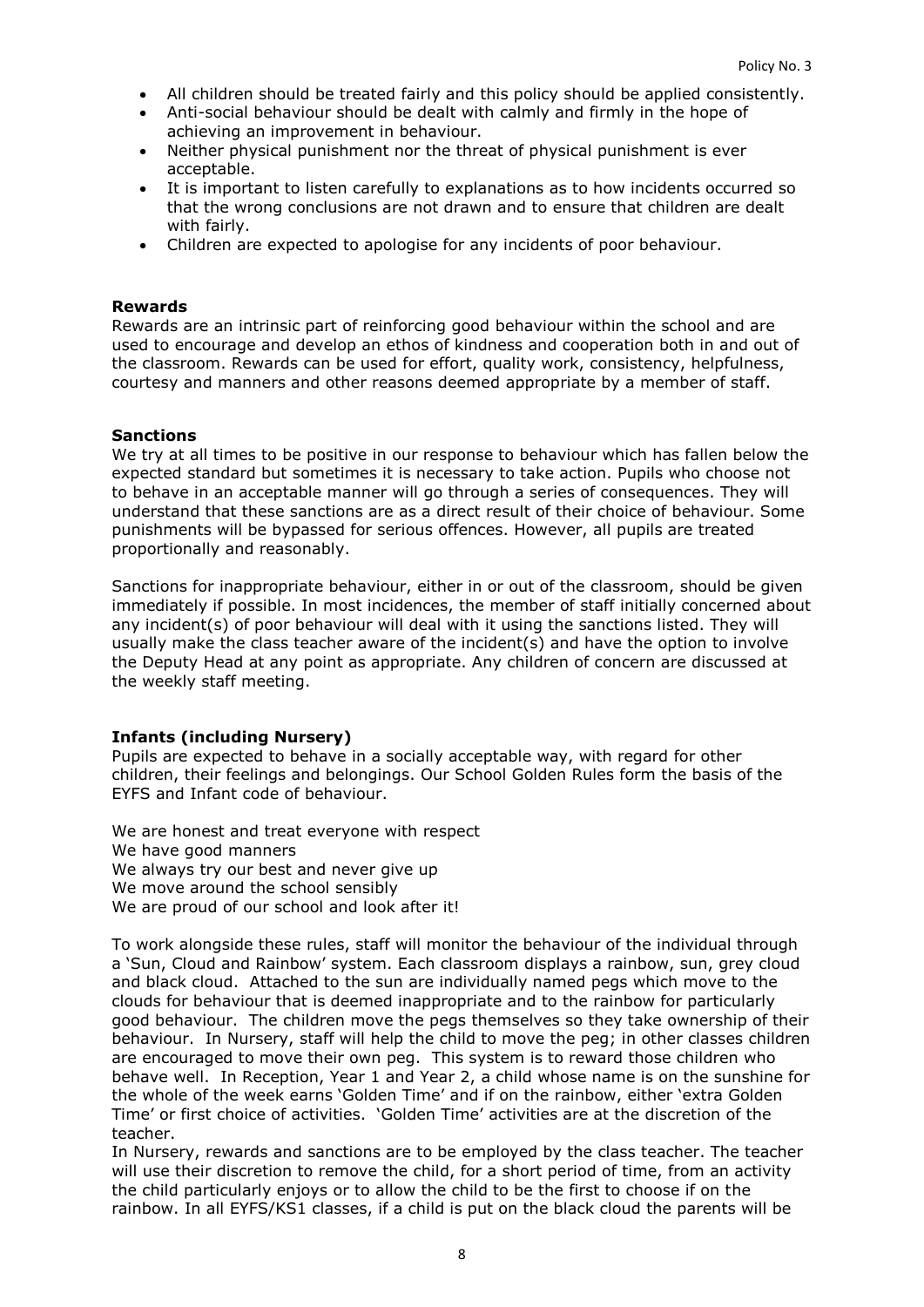- All children should be treated fairly and this policy should be applied consistently.
- Anti-social behaviour should be dealt with calmly and firmly in the hope of achieving an improvement in behaviour.
- Neither physical punishment nor the threat of physical punishment is ever acceptable.
- It is important to listen carefully to explanations as to how incidents occurred so that the wrong conclusions are not drawn and to ensure that children are dealt with fairly.
- Children are expected to apologise for any incidents of poor behaviour.

#### **Rewards**

Rewards are an intrinsic part of reinforcing good behaviour within the school and are used to encourage and develop an ethos of kindness and cooperation both in and out of the classroom. Rewards can be used for effort, quality work, consistency, helpfulness, courtesy and manners and other reasons deemed appropriate by a member of staff.

#### **Sanctions**

We try at all times to be positive in our response to behaviour which has fallen below the expected standard but sometimes it is necessary to take action. Pupils who choose not to behave in an acceptable manner will go through a series of consequences. They will understand that these sanctions are as a direct result of their choice of behaviour. Some punishments will be bypassed for serious offences. However, all pupils are treated proportionally and reasonably.

Sanctions for inappropriate behaviour, either in or out of the classroom, should be given immediately if possible. In most incidences, the member of staff initially concerned about any incident(s) of poor behaviour will deal with it using the sanctions listed. They will usually make the class teacher aware of the incident(s) and have the option to involve the Deputy Head at any point as appropriate. Any children of concern are discussed at the weekly staff meeting.

#### **Infants (including Nursery)**

Pupils are expected to behave in a socially acceptable way, with regard for other children, their feelings and belongings. Our School Golden Rules form the basis of the EYFS and Infant code of behaviour.

We are honest and treat everyone with respect We have good manners We always try our best and never give up We move around the school sensibly We are proud of our school and look after it!

To work alongside these rules, staff will monitor the behaviour of the individual through a 'Sun, Cloud and Rainbow' system. Each classroom displays a rainbow, sun, grey cloud and black cloud. Attached to the sun are individually named pegs which move to the clouds for behaviour that is deemed inappropriate and to the rainbow for particularly good behaviour. The children move the pegs themselves so they take ownership of their behaviour. In Nursery, staff will help the child to move the peg; in other classes children are encouraged to move their own peg. This system is to reward those children who behave well. In Reception, Year 1 and Year 2, a child whose name is on the sunshine for the whole of the week earns 'Golden Time' and if on the rainbow, either 'extra Golden Time' or first choice of activities. 'Golden Time' activities are at the discretion of the teacher.

In Nursery, rewards and sanctions are to be employed by the class teacher. The teacher will use their discretion to remove the child, for a short period of time, from an activity the child particularly enjoys or to allow the child to be the first to choose if on the rainbow. In all EYFS/KS1 classes, if a child is put on the black cloud the parents will be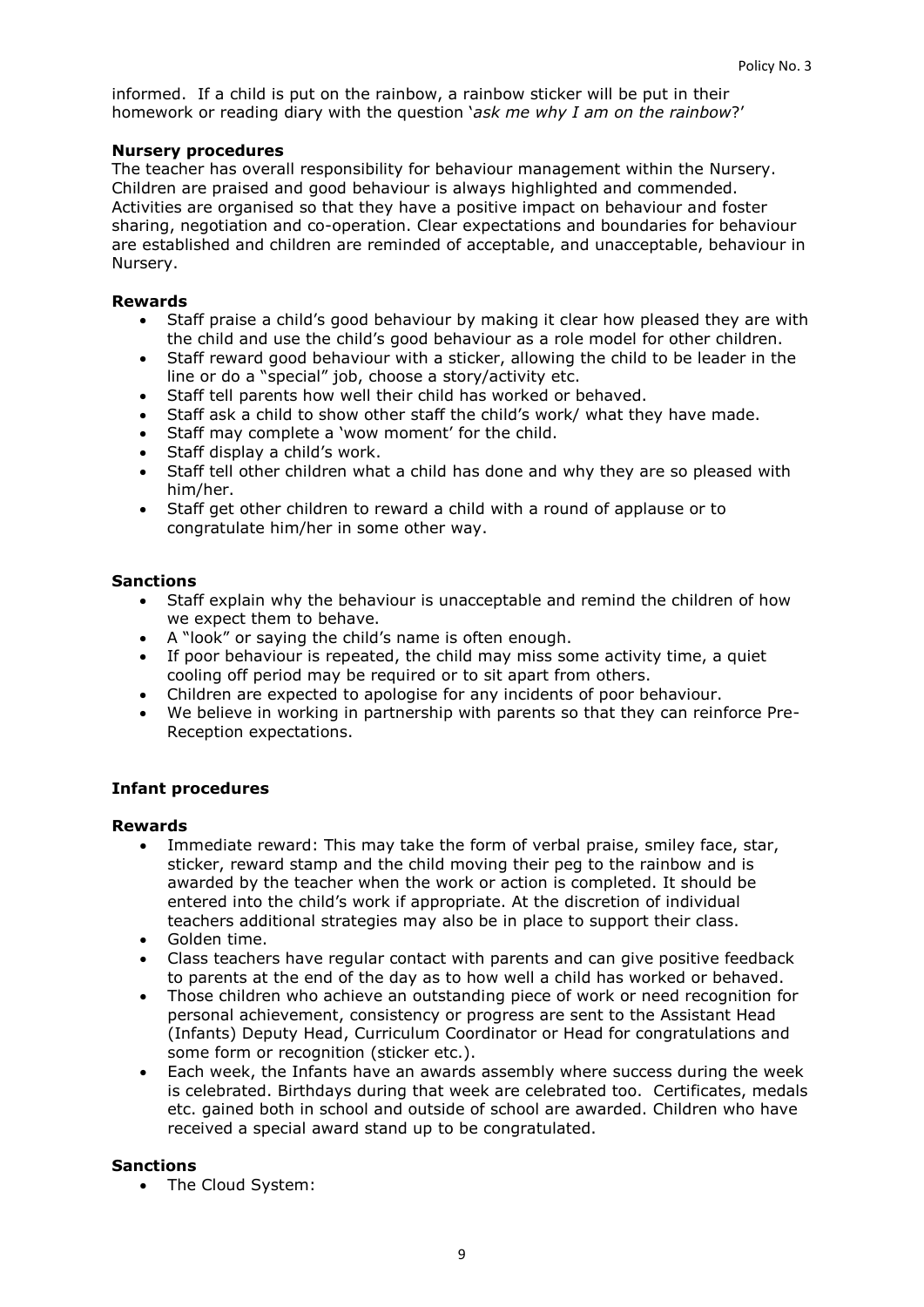informed. If a child is put on the rainbow, a rainbow sticker will be put in their homework or reading diary with the question '*ask me why I am on the rainbow*?'

### **Nursery procedures**

The teacher has overall responsibility for behaviour management within the Nursery. Children are praised and good behaviour is always highlighted and commended. Activities are organised so that they have a positive impact on behaviour and foster sharing, negotiation and co-operation. Clear expectations and boundaries for behaviour are established and children are reminded of acceptable, and unacceptable, behaviour in Nursery.

### **Rewards**

- Staff praise a child's good behaviour by making it clear how pleased they are with the child and use the child's good behaviour as a role model for other children.
- Staff reward good behaviour with a sticker, allowing the child to be leader in the line or do a "special" job, choose a story/activity etc.
- Staff tell parents how well their child has worked or behaved.
- Staff ask a child to show other staff the child's work/ what they have made.
- Staff may complete a 'wow moment' for the child.
- Staff display a child's work.
- Staff tell other children what a child has done and why they are so pleased with him/her.
- Staff get other children to reward a child with a round of applause or to congratulate him/her in some other way.

### **Sanctions**

- Staff explain why the behaviour is unacceptable and remind the children of how we expect them to behave.
- A "look" or saying the child's name is often enough.
- If poor behaviour is repeated, the child may miss some activity time, a quiet cooling off period may be required or to sit apart from others.
- Children are expected to apologise for any incidents of poor behaviour.
- We believe in working in partnership with parents so that they can reinforce Pre-Reception expectations.

## **Infant procedures**

#### **Rewards**

- Immediate reward: This may take the form of verbal praise, smiley face, star, sticker, reward stamp and the child moving their peg to the rainbow and is awarded by the teacher when the work or action is completed. It should be entered into the child's work if appropriate. At the discretion of individual teachers additional strategies may also be in place to support their class.
- Golden time.
- Class teachers have regular contact with parents and can give positive feedback to parents at the end of the day as to how well a child has worked or behaved.
- Those children who achieve an outstanding piece of work or need recognition for personal achievement, consistency or progress are sent to the Assistant Head (Infants) Deputy Head, Curriculum Coordinator or Head for congratulations and some form or recognition (sticker etc.).
- Each week, the Infants have an awards assembly where success during the week is celebrated. Birthdays during that week are celebrated too. Certificates, medals etc. gained both in school and outside of school are awarded. Children who have received a special award stand up to be congratulated.

#### **Sanctions**

• The Cloud System: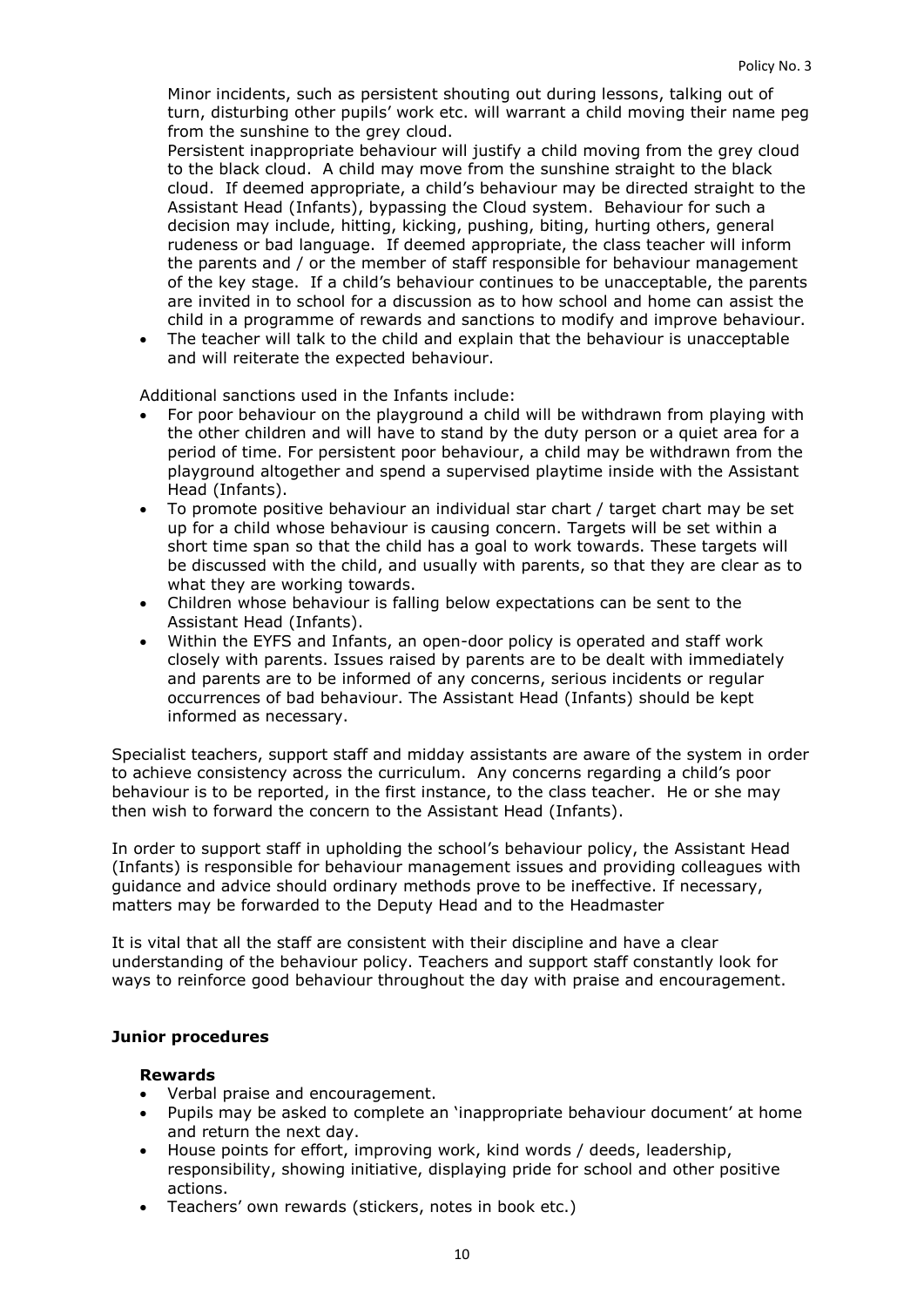Minor incidents, such as persistent shouting out during lessons, talking out of turn, disturbing other pupils' work etc. will warrant a child moving their name peg from the sunshine to the grey cloud.

Persistent inappropriate behaviour will justify a child moving from the grey cloud to the black cloud. A child may move from the sunshine straight to the black cloud. If deemed appropriate, a child's behaviour may be directed straight to the Assistant Head (Infants), bypassing the Cloud system. Behaviour for such a decision may include, hitting, kicking, pushing, biting, hurting others, general rudeness or bad language. If deemed appropriate, the class teacher will inform the parents and / or the member of staff responsible for behaviour management of the key stage. If a child's behaviour continues to be unacceptable, the parents are invited in to school for a discussion as to how school and home can assist the child in a programme of rewards and sanctions to modify and improve behaviour.

 The teacher will talk to the child and explain that the behaviour is unacceptable and will reiterate the expected behaviour.

Additional sanctions used in the Infants include:

- For poor behaviour on the playground a child will be withdrawn from playing with the other children and will have to stand by the duty person or a quiet area for a period of time. For persistent poor behaviour, a child may be withdrawn from the playground altogether and spend a supervised playtime inside with the Assistant Head (Infants).
- To promote positive behaviour an individual star chart / target chart may be set up for a child whose behaviour is causing concern. Targets will be set within a short time span so that the child has a goal to work towards. These targets will be discussed with the child, and usually with parents, so that they are clear as to what they are working towards.
- Children whose behaviour is falling below expectations can be sent to the Assistant Head (Infants).
- Within the EYFS and Infants, an open-door policy is operated and staff work closely with parents. Issues raised by parents are to be dealt with immediately and parents are to be informed of any concerns, serious incidents or regular occurrences of bad behaviour. The Assistant Head (Infants) should be kept informed as necessary.

Specialist teachers, support staff and midday assistants are aware of the system in order to achieve consistency across the curriculum. Any concerns regarding a child's poor behaviour is to be reported, in the first instance, to the class teacher. He or she may then wish to forward the concern to the Assistant Head (Infants).

In order to support staff in upholding the school's behaviour policy, the Assistant Head (Infants) is responsible for behaviour management issues and providing colleagues with guidance and advice should ordinary methods prove to be ineffective. If necessary, matters may be forwarded to the Deputy Head and to the Headmaster

It is vital that all the staff are consistent with their discipline and have a clear understanding of the behaviour policy. Teachers and support staff constantly look for ways to reinforce good behaviour throughout the day with praise and encouragement.

#### **Junior procedures**

#### **Rewards**

- Verbal praise and encouragement.
- Pupils may be asked to complete an 'inappropriate behaviour document' at home and return the next day.
- House points for effort, improving work, kind words / deeds, leadership, responsibility, showing initiative, displaying pride for school and other positive actions.
- Teachers' own rewards (stickers, notes in book etc.)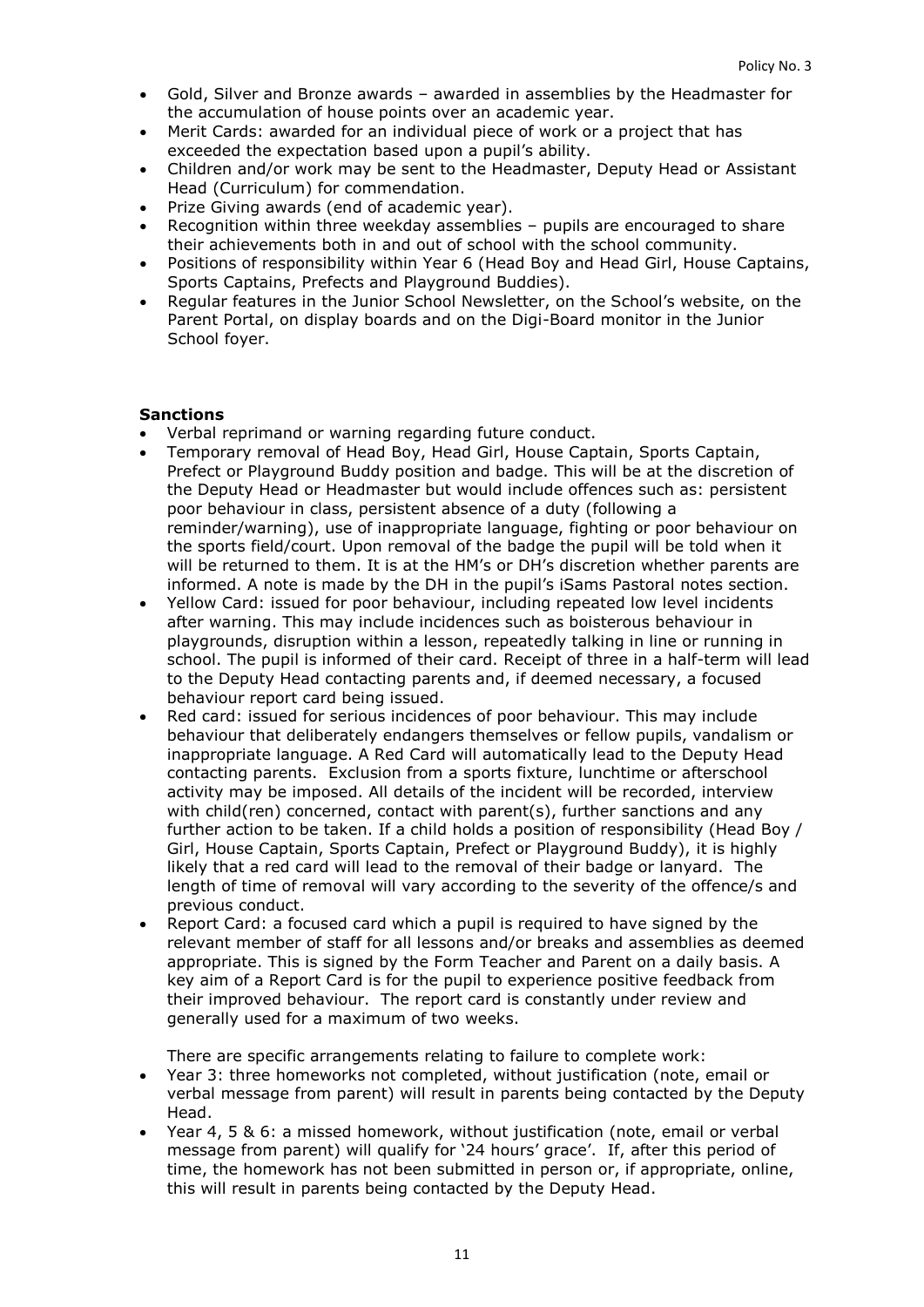- Gold, Silver and Bronze awards awarded in assemblies by the Headmaster for the accumulation of house points over an academic year.
- Merit Cards: awarded for an individual piece of work or a project that has exceeded the expectation based upon a pupil's ability.
- Children and/or work may be sent to the Headmaster, Deputy Head or Assistant Head (Curriculum) for commendation.
- Prize Giving awards (end of academic year).
- Recognition within three weekday assemblies pupils are encouraged to share their achievements both in and out of school with the school community.
- Positions of responsibility within Year 6 (Head Boy and Head Girl, House Captains, Sports Captains, Prefects and Playground Buddies).
- Regular features in the Junior School Newsletter, on the School's website, on the Parent Portal, on display boards and on the Digi-Board monitor in the Junior School foyer.

#### **Sanctions**

- Verbal reprimand or warning regarding future conduct.
- Temporary removal of Head Boy, Head Girl, House Captain, Sports Captain, Prefect or Playground Buddy position and badge. This will be at the discretion of the Deputy Head or Headmaster but would include offences such as: persistent poor behaviour in class, persistent absence of a duty (following a reminder/warning), use of inappropriate language, fighting or poor behaviour on the sports field/court. Upon removal of the badge the pupil will be told when it will be returned to them. It is at the HM's or DH's discretion whether parents are informed. A note is made by the DH in the pupil's iSams Pastoral notes section.
- Yellow Card: issued for poor behaviour, including repeated low level incidents after warning. This may include incidences such as boisterous behaviour in playgrounds, disruption within a lesson, repeatedly talking in line or running in school. The pupil is informed of their card. Receipt of three in a half-term will lead to the Deputy Head contacting parents and, if deemed necessary, a focused behaviour report card being issued.
- Red card: issued for serious incidences of poor behaviour. This may include behaviour that deliberately endangers themselves or fellow pupils, vandalism or inappropriate language. A Red Card will automatically lead to the Deputy Head contacting parents. Exclusion from a sports fixture, lunchtime or afterschool activity may be imposed. All details of the incident will be recorded, interview with child(ren) concerned, contact with parent(s), further sanctions and any further action to be taken. If a child holds a position of responsibility (Head Boy / Girl, House Captain, Sports Captain, Prefect or Playground Buddy), it is highly likely that a red card will lead to the removal of their badge or lanyard. The length of time of removal will vary according to the severity of the offence/s and previous conduct.
- Report Card: a focused card which a pupil is required to have signed by the relevant member of staff for all lessons and/or breaks and assemblies as deemed appropriate. This is signed by the Form Teacher and Parent on a daily basis. A key aim of a Report Card is for the pupil to experience positive feedback from their improved behaviour. The report card is constantly under review and generally used for a maximum of two weeks.

There are specific arrangements relating to failure to complete work:

- Year 3: three homeworks not completed, without justification (note, email or verbal message from parent) will result in parents being contacted by the Deputy Head.
- Year 4, 5 & 6: a missed homework, without justification (note, email or verbal message from parent) will qualify for '24 hours' grace'. If, after this period of time, the homework has not been submitted in person or, if appropriate, online, this will result in parents being contacted by the Deputy Head.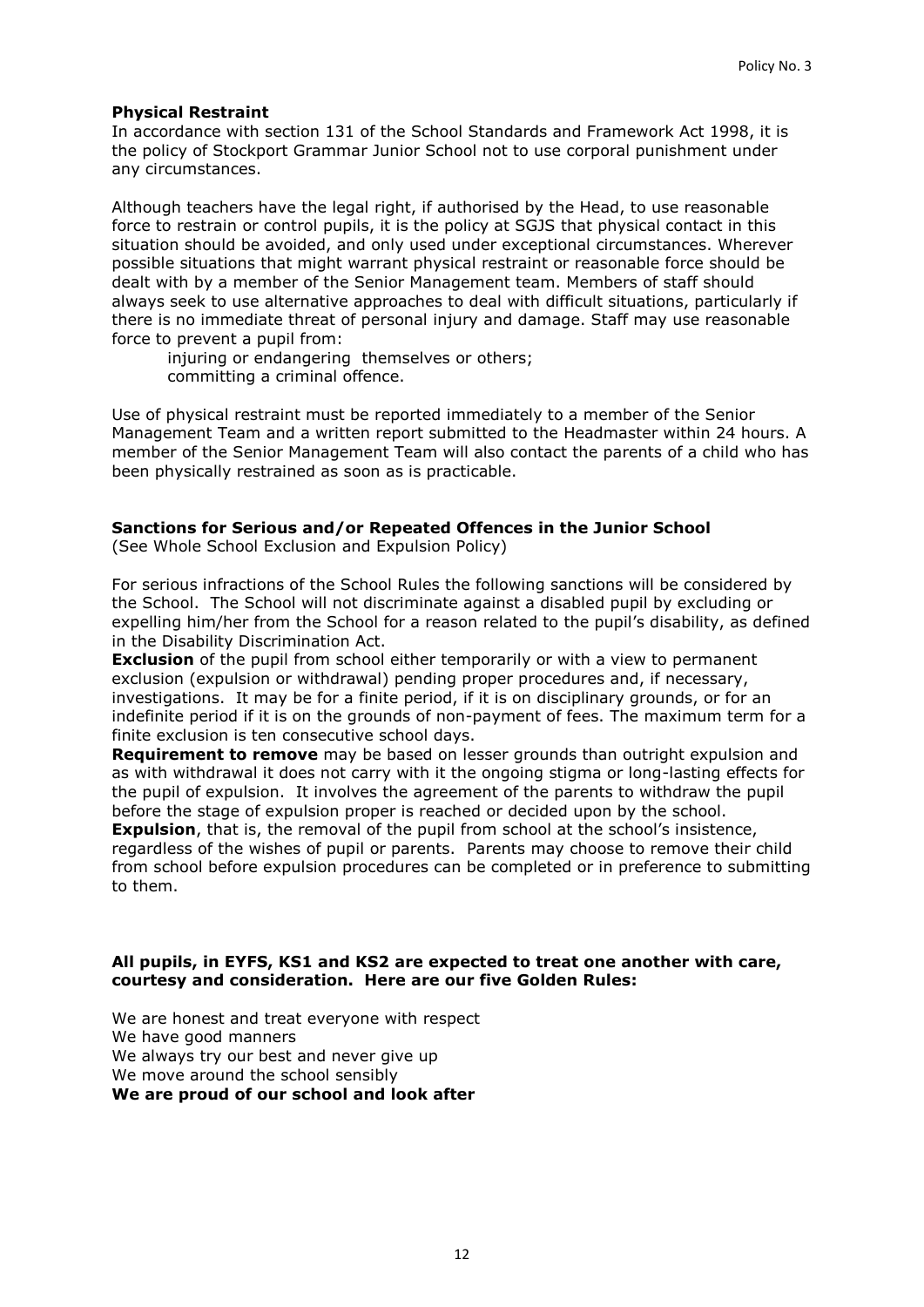### **Physical Restraint**

In accordance with section 131 of the School Standards and Framework Act 1998, it is the policy of Stockport Grammar Junior School not to use corporal punishment under any circumstances.

Although teachers have the legal right, if authorised by the Head, to use reasonable force to restrain or control pupils, it is the policy at SGJS that physical contact in this situation should be avoided, and only used under exceptional circumstances. Wherever possible situations that might warrant physical restraint or reasonable force should be dealt with by a member of the Senior Management team. Members of staff should always seek to use alternative approaches to deal with difficult situations, particularly if there is no immediate threat of personal injury and damage. Staff may use reasonable force to prevent a pupil from:

injuring or endangering themselves or others; committing a criminal offence.

Use of physical restraint must be reported immediately to a member of the Senior Management Team and a written report submitted to the Headmaster within 24 hours. A member of the Senior Management Team will also contact the parents of a child who has been physically restrained as soon as is practicable.

### **Sanctions for Serious and/or Repeated Offences in the Junior School**

(See Whole School Exclusion and Expulsion Policy)

For serious infractions of the School Rules the following sanctions will be considered by the School. The School will not discriminate against a disabled pupil by excluding or expelling him/her from the School for a reason related to the pupil's disability, as defined in the Disability Discrimination Act.

**Exclusion** of the pupil from school either temporarily or with a view to permanent exclusion (expulsion or withdrawal) pending proper procedures and, if necessary, investigations. It may be for a finite period, if it is on disciplinary grounds, or for an indefinite period if it is on the grounds of non-payment of fees. The maximum term for a finite exclusion is ten consecutive school days.

**Requirement to remove** may be based on lesser grounds than outright expulsion and as with withdrawal it does not carry with it the ongoing stigma or long-lasting effects for the pupil of expulsion. It involves the agreement of the parents to withdraw the pupil before the stage of expulsion proper is reached or decided upon by the school.

**Expulsion**, that is, the removal of the pupil from school at the school's insistence, regardless of the wishes of pupil or parents. Parents may choose to remove their child from school before expulsion procedures can be completed or in preference to submitting to them.

#### **All pupils, in EYFS, KS1 and KS2 are expected to treat one another with care, courtesy and consideration. Here are our five Golden Rules:**

We are honest and treat everyone with respect We have good manners We always try our best and never give up We move around the school sensibly **We are proud of our school and look after**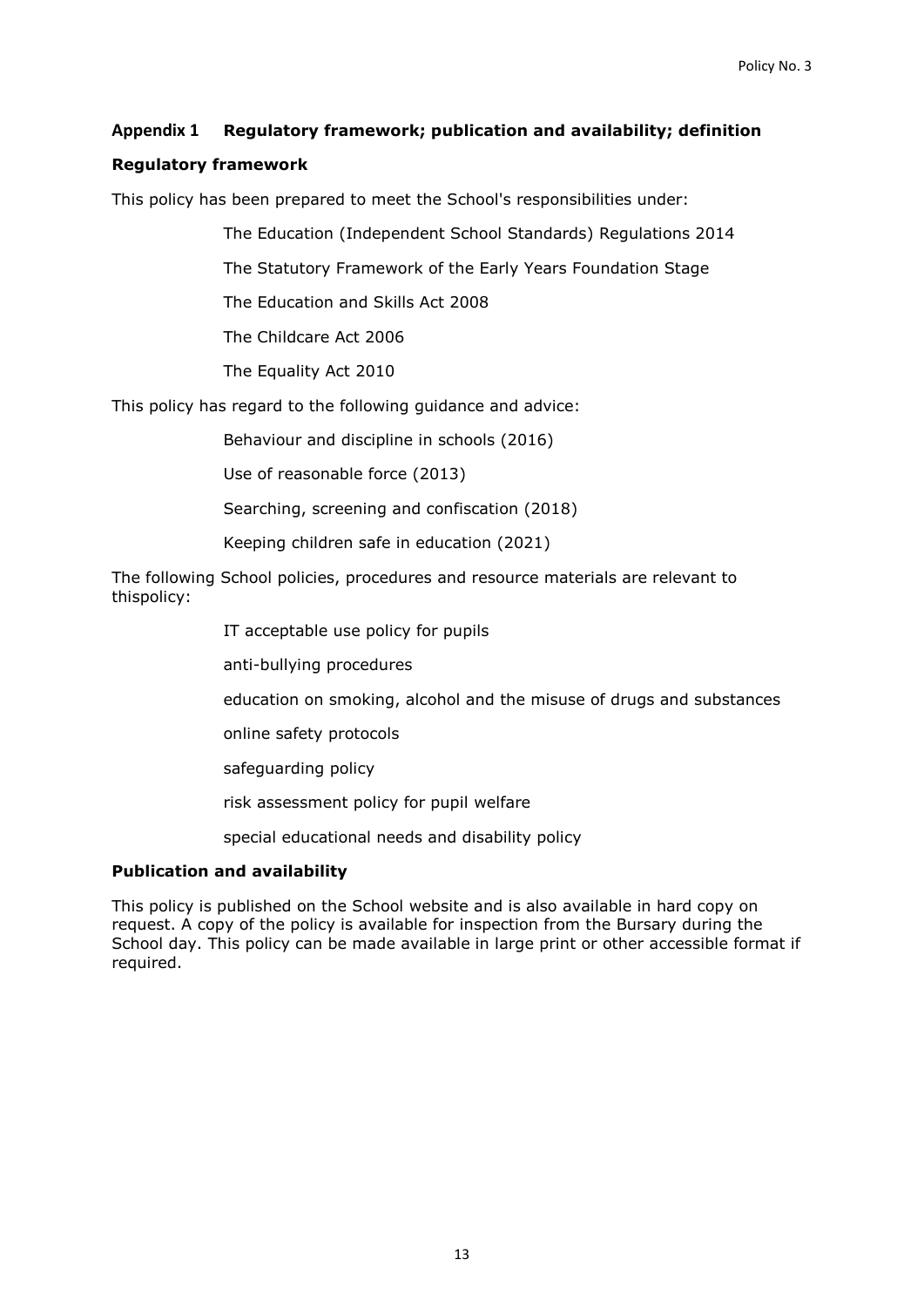## **Appendix 1 Regulatory framework; publication and availability; definition**

### **Regulatory framework**

This policy has been prepared to meet the School's responsibilities under:

The Education (Independent School Standards) Regulations 2014

The Statutory Framework of the Early Years Foundation Stage

The Education and Skills Act 2008

The Childcare Act 2006

The Equality Act 2010

This policy has regard to the following guidance and advice:

[Behaviour and discipline in schools \(2016\)](https://www.gov.uk/government/uploads/system/uploads/attachment_data/file/488034/Behaviour_and_Discipline_in_Schools_-_A_guide_for_headteachers_and_School_Staff.pdf)

[Use of reasonable force \(2013\)](https://www.gov.uk/government/uploads/system/uploads/attachment_data/file/444051/Use_of_reasonable_force_advice_Reviewed_July_2015.pdf)

[Searching, screening and confiscation \(2018\)](https://www.gov.uk/government/uploads/system/uploads/attachment_data/file/554415/searching_screening_confiscation_advice_Sept_2016.pdf)

[Keeping children safe in education \(2021\)](https://www.gov.uk/government/uploads/system/uploads/attachment_data/file/550511/Keeping_children_safe_in_education.pdf)

The following School policies, procedures and resource materials are relevant to thispolicy:

IT acceptable use policy for pupils

anti-bullying procedures

education on smoking, alcohol and the misuse of drugs and substances

online safety protocols

safeguarding policy

risk assessment policy for pupil welfare

special educational needs and disability policy

#### **Publication and availability**

This policy is published on the School website and is also available in hard copy on request. A copy of the policy is available for inspection from the Bursary during the School day. This policy can be made available in large print or other accessible format if required.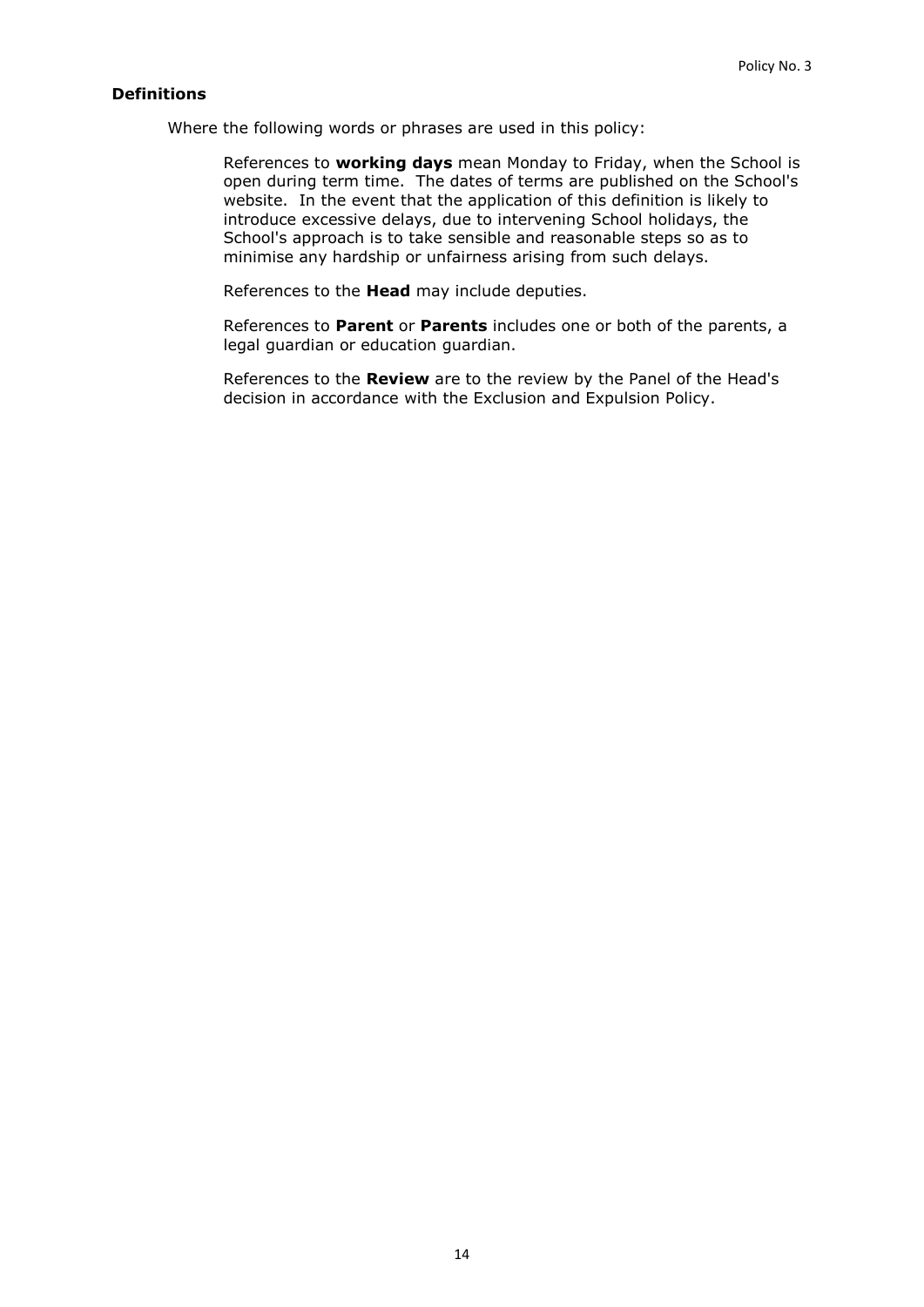## **Definitions**

Where the following words or phrases are used in this policy:

References to **working days** mean Monday to Friday, when the School is open during term time. The dates of terms are published on the School's website. In the event that the application of this definition is likely to introduce excessive delays, due to intervening School holidays, the School's approach is to take sensible and reasonable steps so as to minimise any hardship or unfairness arising from such delays.

References to the **Head** may include deputies.

References to **Parent** or **Parents** includes one or both of the parents, a legal guardian or education guardian.

References to the **Review** are to the review by the Panel of the Head's decision in accordance with the Exclusion and Expulsion Policy.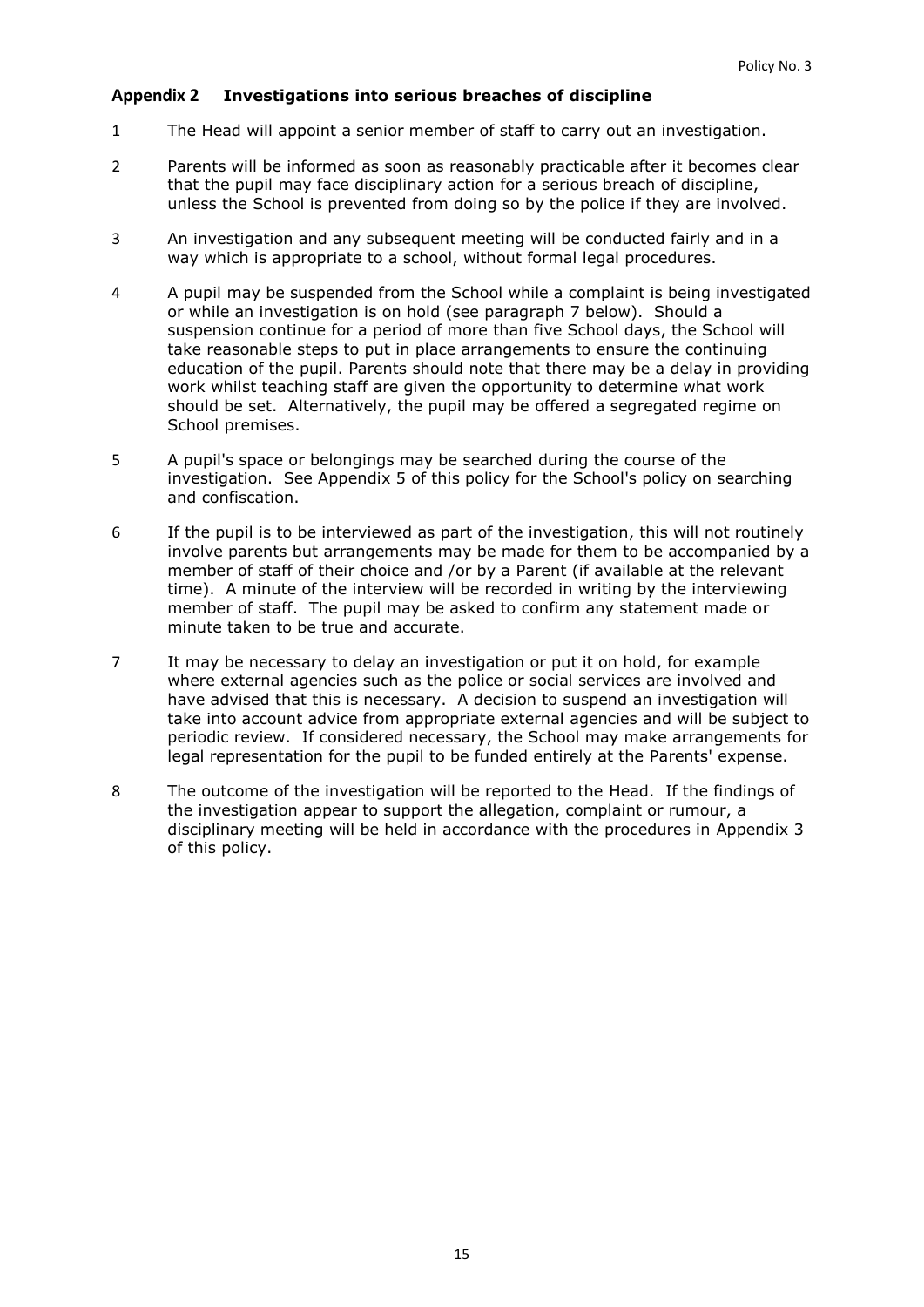## <span id="page-14-0"></span>**Appendix 2 Investigations into serious breaches of discipline**

- 1 The Head will appoint a senior member of staff to carry out an investigation.
- 2 Parents will be informed as soon as reasonably practicable after it becomes clear that the pupil may face disciplinary action for a serious breach of discipline, unless the School is prevented from doing so by the police if they are involved.
- 3 An investigation and any subsequent meeting will be conducted fairly and in a way which is appropriate to a school, without formal legal procedures.
- 4 A pupil may be suspended from the School while a complaint is being investigated or while an investigation is on hold (see paragraph [7](#page-14-1) below). Should a suspension continue for a period of more than five School days, the School will take reasonable steps to put in place arrangements to ensure the continuing education of the pupil. Parents should note that there may be a delay in providing work whilst teaching staff are given the opportunity to determine what work should be set. Alternatively, the pupil may be offered a segregated regime on School premises.
- 5 A pupil's space or belongings may be searched during the course of the investigation. See [Appendix 5](#page-19-0) of this policy for the School's policy on searching and confiscation.
- 6 If the pupil is to be interviewed as part of the investigation, this will not routinely involve parents but arrangements may be made for them to be accompanied by a member of staff of their choice and /or by a Parent (if available at the relevant time). A minute of the interview will be recorded in writing by the interviewing member of staff. The pupil may be asked to confirm any statement made or minute taken to be true and accurate.
- <span id="page-14-1"></span>7 It may be necessary to delay an investigation or put it on hold, for example where external agencies such as the police or social services are involved and have advised that this is necessary. A decision to suspend an investigation will take into account advice from appropriate external agencies and will be subject to periodic review. If considered necessary, the School may make arrangements for legal representation for the pupil to be funded entirely at the Parents' expense.
- 8 The outcome of the investigation will be reported to the Head. If the findings of the investigation appear to support the allegation, complaint or rumour, a disciplinary meeting will be held in accordance with the procedures in [Appendix 3](#page-15-0) of this policy.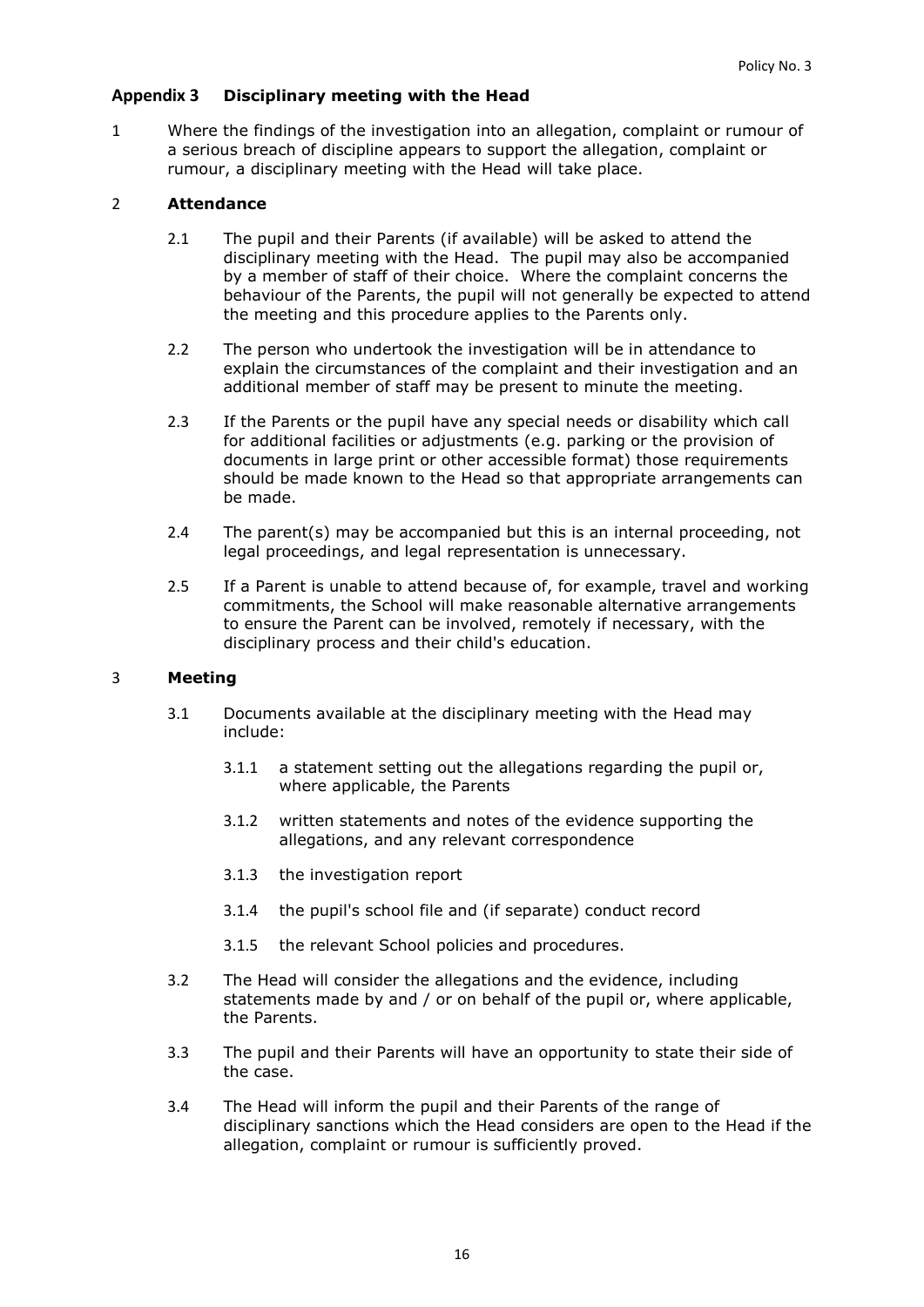## <span id="page-15-0"></span>**Appendix 3 Disciplinary meeting with the Head**

1 Where the findings of the investigation into an allegation, complaint or rumour of a serious breach of discipline appears to support the allegation, complaint or rumour, a disciplinary meeting with the Head will take place.

### 2 **Attendance**

- 2.1 The pupil and their Parents (if available) will be asked to attend the disciplinary meeting with the Head. The pupil may also be accompanied by a member of staff of their choice. Where the complaint concerns the behaviour of the Parents, the pupil will not generally be expected to attend the meeting and this procedure applies to the Parents only.
- 2.2 The person who undertook the investigation will be in attendance to explain the circumstances of the complaint and their investigation and an additional member of staff may be present to minute the meeting.
- 2.3 If the Parents or the pupil have any special needs or disability which call for additional facilities or adjustments (e.g. parking or the provision of documents in large print or other accessible format) those requirements should be made known to the Head so that appropriate arrangements can be made.
- 2.4 The parent(s) may be accompanied but this is an internal proceeding, not legal proceedings, and legal representation is unnecessary.
- 2.5 If a Parent is unable to attend because of, for example, travel and working commitments, the School will make reasonable alternative arrangements to ensure the Parent can be involved, remotely if necessary, with the disciplinary process and their child's education.

#### 3 **Meeting**

- 3.1 Documents available at the disciplinary meeting with the Head may include:
	- 3.1.1 a statement setting out the allegations regarding the pupil or, where applicable, the Parents
	- 3.1.2 written statements and notes of the evidence supporting the allegations, and any relevant correspondence
	- 3.1.3 the investigation report
	- 3.1.4 the pupil's school file and (if separate) conduct record
	- 3.1.5 the relevant School policies and procedures.
- 3.2 The Head will consider the allegations and the evidence, including statements made by and / or on behalf of the pupil or, where applicable, the Parents.
- 3.3 The pupil and their Parents will have an opportunity to state their side of the case.
- 3.4 The Head will inform the pupil and their Parents of the range of disciplinary sanctions which the Head considers are open to the Head if the allegation, complaint or rumour is sufficiently proved.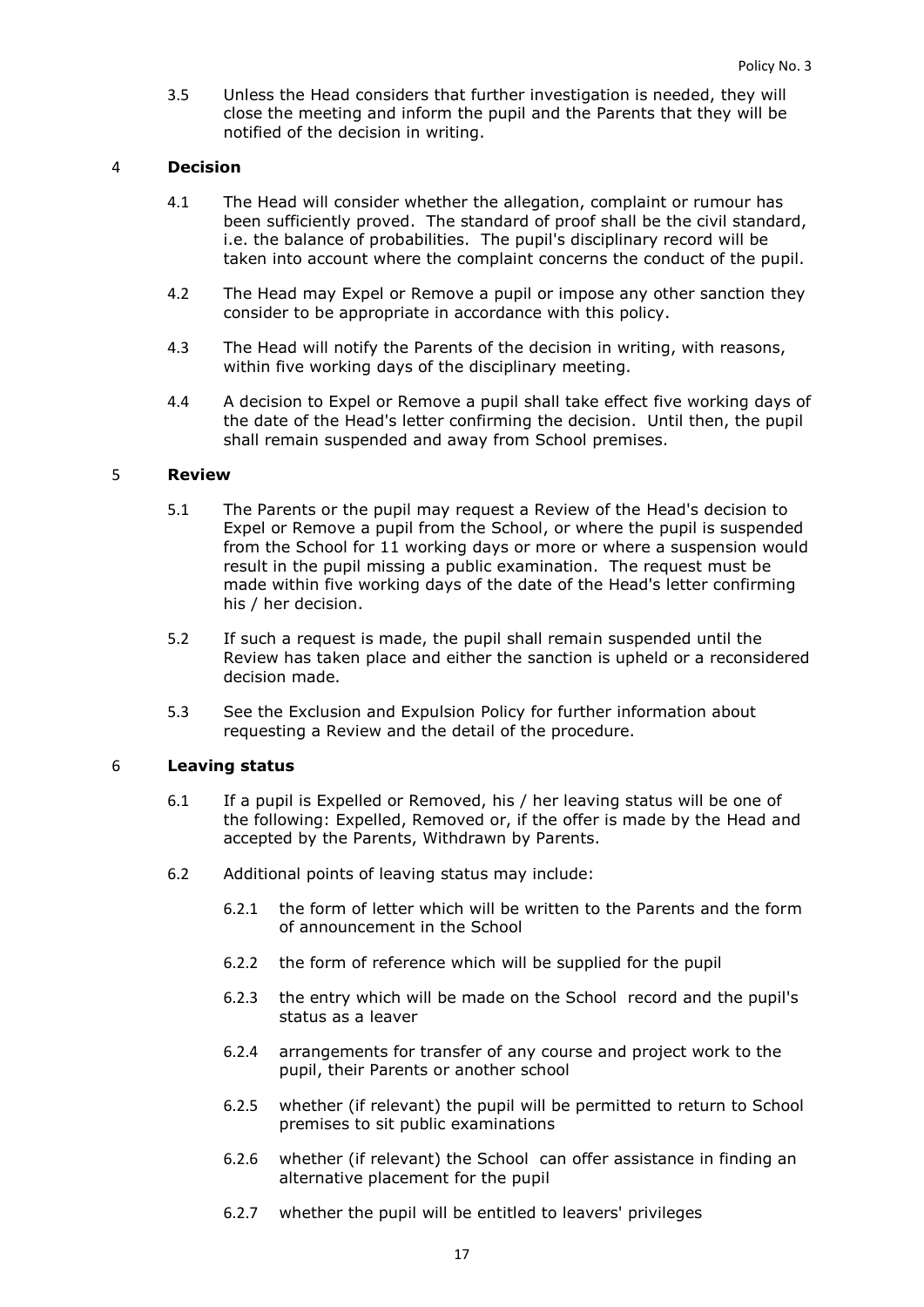3.5 Unless the Head considers that further investigation is needed, they will close the meeting and inform the pupil and the Parents that they will be notified of the decision in writing.

#### 4 **Decision**

- 4.1 The Head will consider whether the allegation, complaint or rumour has been sufficiently proved. The standard of proof shall be the civil standard, i.e. the balance of probabilities. The pupil's disciplinary record will be taken into account where the complaint concerns the conduct of the pupil.
- 4.2 The Head may Expel or Remove a pupil or impose any other sanction they consider to be appropriate in accordance with this policy.
- 4.3 The Head will notify the Parents of the decision in writing, with reasons, within five working days of the disciplinary meeting.
- 4.4 A decision to Expel or Remove a pupil shall take effect five working days of the date of the Head's letter confirming the decision. Until then, the pupil shall remain suspended and away from School premises.

#### 5 **Review**

- 5.1 The Parents or the pupil may request a Review of the Head's decision to Expel or Remove a pupil from the School, or where the pupil is suspended from the School for 11 working days or more or where a suspension would result in the pupil missing a public examination. The request must be made within five working days of the date of the Head's letter confirming his / her decision.
- 5.2 If such a request is made, the pupil shall remain suspended until the Review has taken place and either the sanction is upheld or a reconsidered decision made.
- 5.3 See the Exclusion and Expulsion Policy for further information about requesting a Review and the detail of the procedure.

#### 6 **Leaving status**

- 6.1 If a pupil is Expelled or Removed, his / her leaving status will be one of the following: Expelled, Removed or, if the offer is made by the Head and accepted by the Parents, Withdrawn by Parents.
- 6.2 Additional points of leaving status may include:
	- 6.2.1 the form of letter which will be written to the Parents and the form of announcement in the School
	- 6.2.2 the form of reference which will be supplied for the pupil
	- 6.2.3 the entry which will be made on the School record and the pupil's status as a leaver
	- 6.2.4 arrangements for transfer of any course and project work to the pupil, their Parents or another school
	- 6.2.5 whether (if relevant) the pupil will be permitted to return to School premises to sit public examinations
	- 6.2.6 whether (if relevant) the School can offer assistance in finding an alternative placement for the pupil
	- 6.2.7 whether the pupil will be entitled to leavers' privileges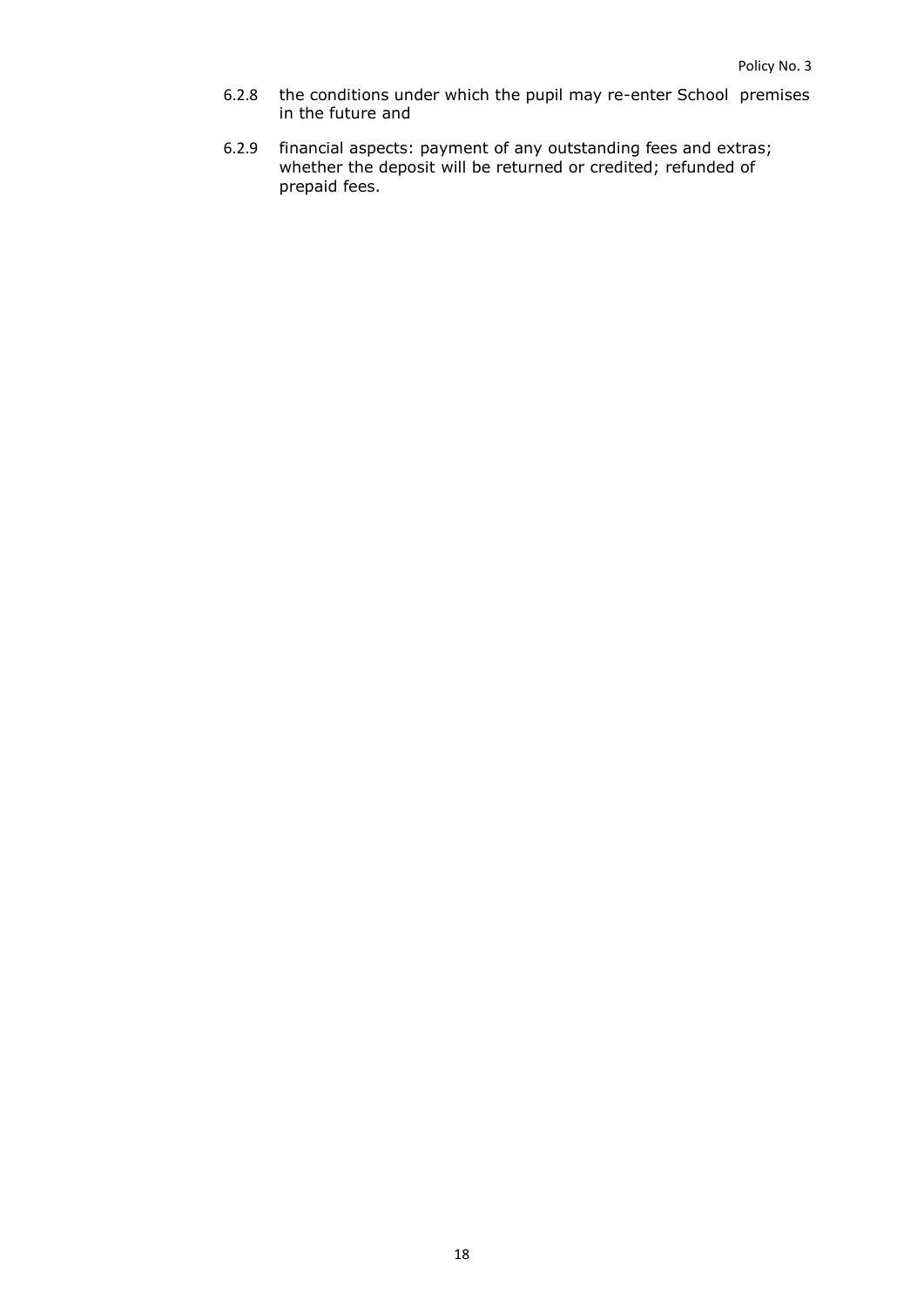- 6.2.8 the conditions under which the pupil may re-enter School premises in the future and
- 6.2.9 financial aspects: payment of any outstanding fees and extras; whether the deposit will be returned or credited; refunded of prepaid fees.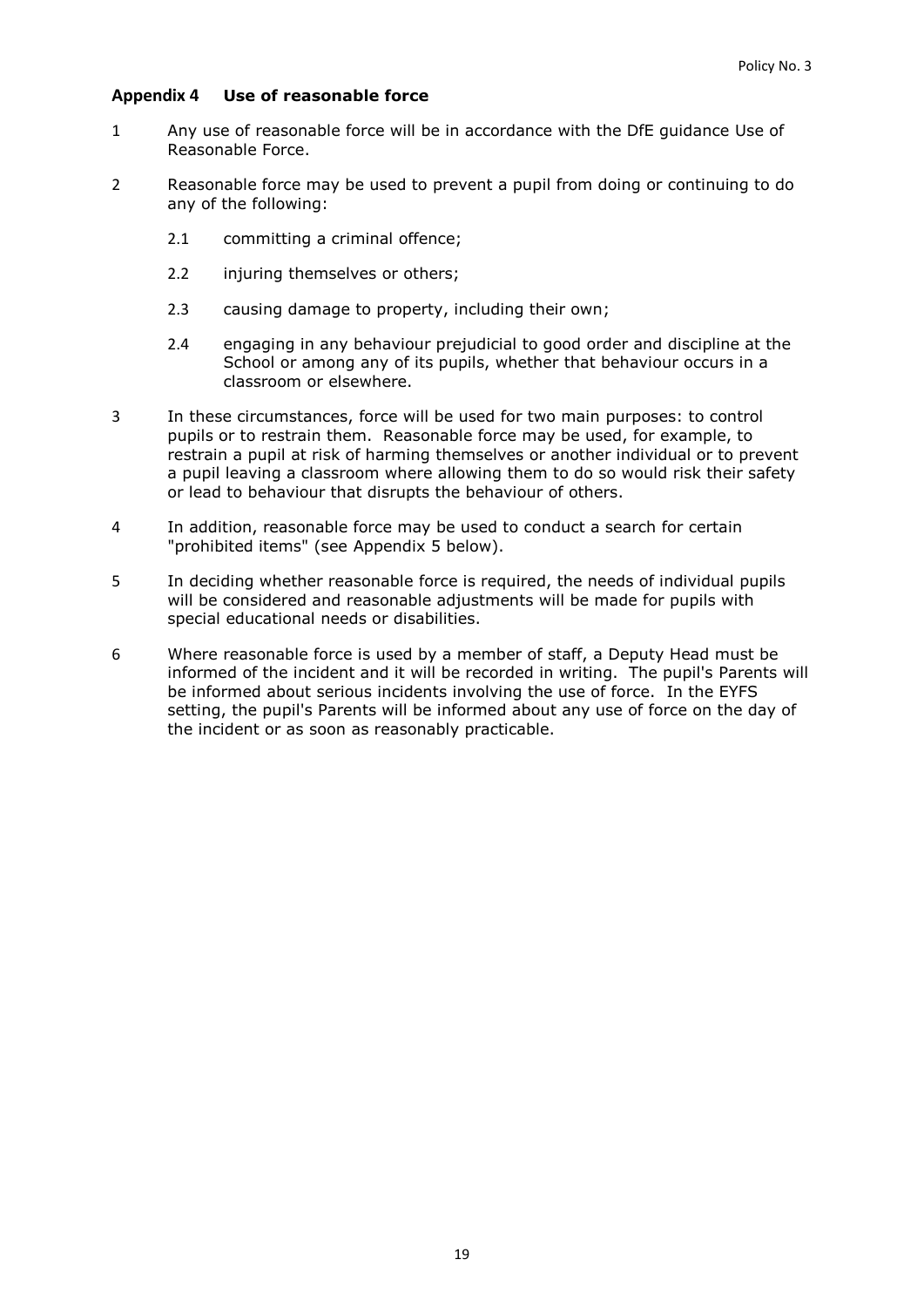### <span id="page-18-0"></span>**Appendix 4 Use of reasonable force**

- 1 Any use of reasonable force will be in accordance with the DfE guidance [Use of](https://www.gov.uk/government/uploads/system/uploads/attachment_data/file/444051/Use_of_reasonable_force_advice_Reviewed_July_2015.pdf)  [Reasonable Force.](https://www.gov.uk/government/uploads/system/uploads/attachment_data/file/444051/Use_of_reasonable_force_advice_Reviewed_July_2015.pdf)
- 2 Reasonable force may be used to prevent a pupil from doing or continuing to do any of the following:
	- 2.1 committing a criminal offence;
	- 2.2 injuring themselves or others;
	- 2.3 causing damage to property, including their own;
	- 2.4 engaging in any behaviour prejudicial to good order and discipline at the School or among any of its pupils, whether that behaviour occurs in a classroom or elsewhere.
- 3 In these circumstances, force will be used for two main purposes: to control pupils or to restrain them. Reasonable force may be used, for example, to restrain a pupil at risk of harming themselves or another individual or to prevent a pupil leaving a classroom where allowing them to do so would risk their safety or lead to behaviour that disrupts the behaviour of others.
- 4 In addition, reasonable force may be used to conduct a search for certain "prohibited items" (see [Appendix 5](#page-19-0) below).
- 5 In deciding whether reasonable force is required, the needs of individual pupils will be considered and reasonable adjustments will be made for pupils with special educational needs or disabilities.
- 6 Where reasonable force is used by a member of staff, a Deputy Head must be informed of the incident and it will be recorded in writing. The pupil's Parents will be informed about serious incidents involving the use of force. In the EYFS setting, the pupil's Parents will be informed about any use of force on the day of the incident or as soon as reasonably practicable.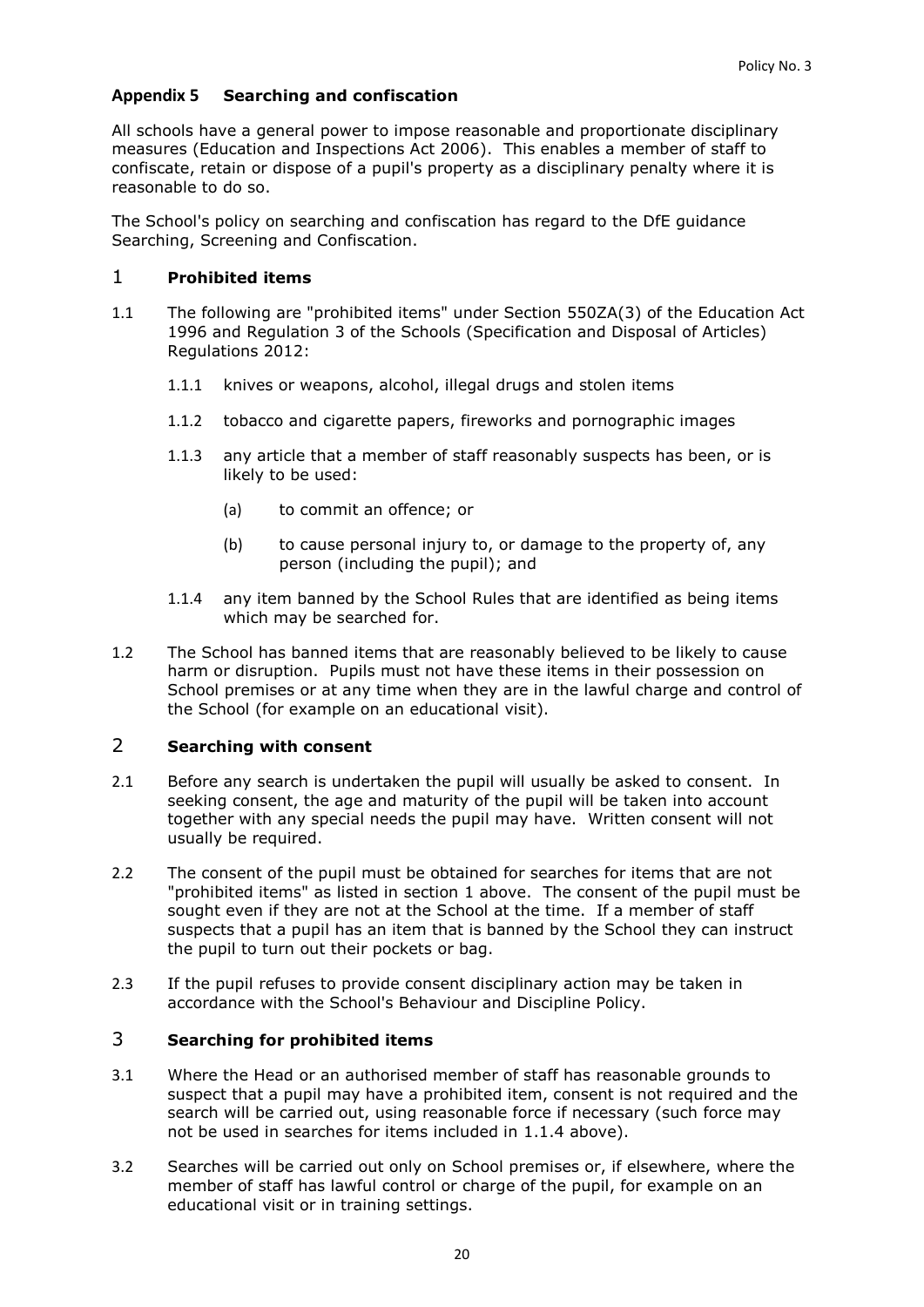## <span id="page-19-0"></span>**Appendix 5 Searching and confiscation**

All schools have a general power to impose reasonable and proportionate disciplinary measures (Education and Inspections Act 2006). This enables a member of staff to confiscate, retain or dispose of a pupil's property as a disciplinary penalty where it is reasonable to do so.

The School's policy on searching and confiscation has regard to the DfE guidance [Searching, Screening and Confiscation.](https://www.gov.uk/government/uploads/system/uploads/attachment_data/file/554415/searching_screening_confiscation_advice_Sept_2016.pdf)

## <span id="page-19-1"></span>1 **Prohibited items**

- 1.1 The following are "prohibited items" under Section 550ZA(3) of the Education Act 1996 and Regulation 3 of the Schools (Specification and Disposal of Articles) Regulations 2012:
	- 1.1.1 knives or weapons, alcohol, illegal drugs and stolen items
	- 1.1.2 tobacco and cigarette papers, fireworks and pornographic images
	- 1.1.3 any article that a member of staff reasonably suspects has been, or is likely to be used:
		- (a) to commit an offence; or
		- (b) to cause personal injury to, or damage to the property of, any person (including the pupil); and
	- 1.1.4 any item banned by the School Rules that are identified as being items which may be searched for.
- <span id="page-19-2"></span>1.2 The School has banned items that are reasonably believed to be likely to cause harm or disruption. Pupils must not have these items in their possession on School premises or at any time when they are in the lawful charge and control of the School (for example on an educational visit).

## 2 **Searching with consent**

- 2.1 Before any search is undertaken the pupil will usually be asked to consent. In seeking consent, the age and maturity of the pupil will be taken into account together with any special needs the pupil may have. Written consent will not usually be required.
- 2.2 The consent of the pupil must be obtained for searches for items that are not "prohibited items" as listed in section [1](#page-19-1) above. The consent of the pupil must be sought even if they are not at the School at the time. If a member of staff suspects that a pupil has an item that is banned by the School they can instruct the pupil to turn out their pockets or bag.
- 2.3 If the pupil refuses to provide consent disciplinary action may be taken in accordance with the School's Behaviour and Discipline Policy.

# 3 **Searching for prohibited items**

- 3.1 Where the Head or an authorised member of staff has reasonable grounds to suspect that a pupil may have a prohibited item, consent is not required and the search will be carried out, using reasonable force if necessary (such force may not be used in searches for items included in [1.1.4](#page-19-2) above).
- 3.2 Searches will be carried out only on School premises or, if elsewhere, where the member of staff has lawful control or charge of the pupil, for example on an educational visit or in training settings.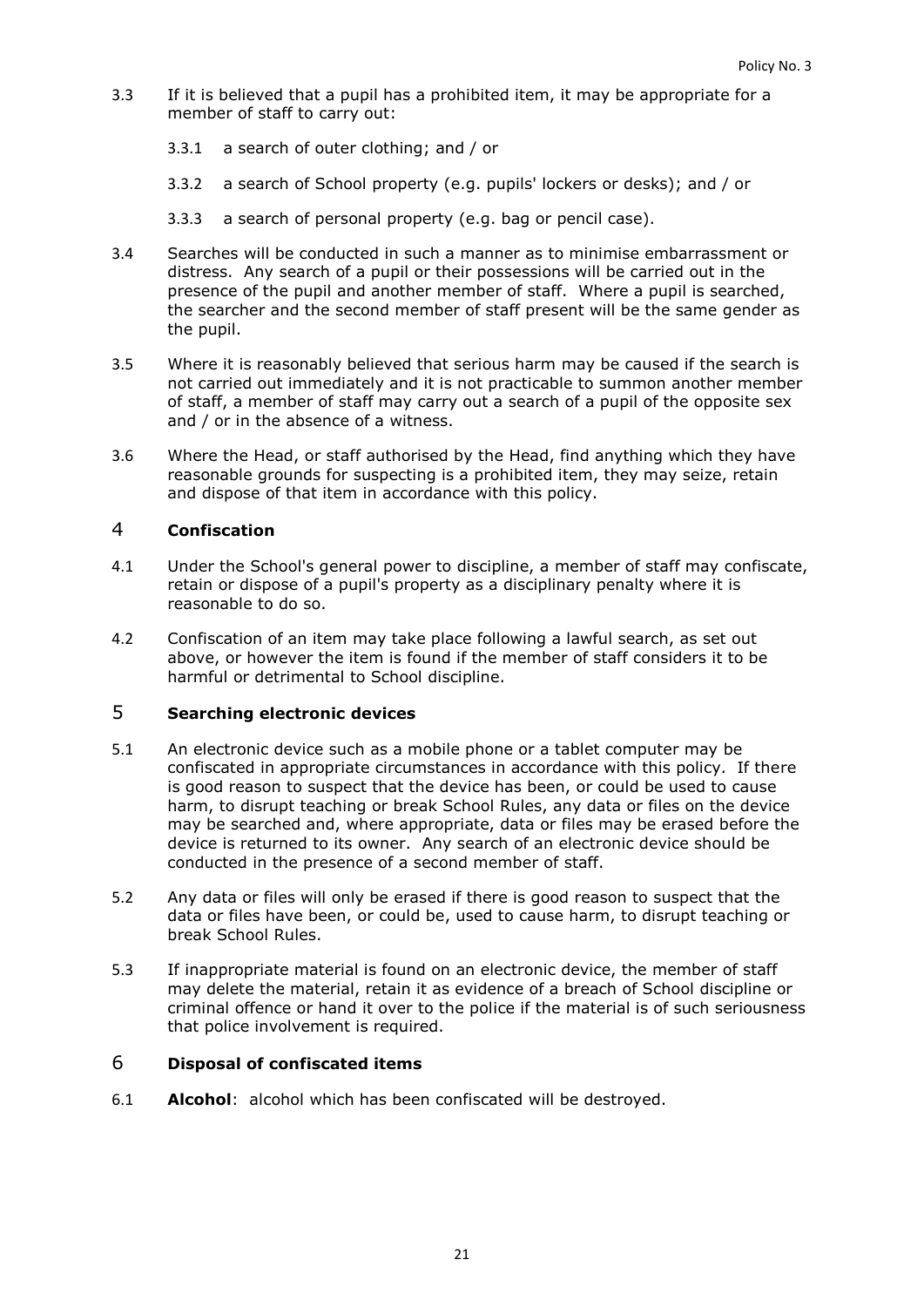- 3.3 If it is believed that a pupil has a prohibited item, it may be appropriate for a member of staff to carry out:
	- 3.3.1 a search of outer clothing; and / or
	- 3.3.2 a search of School property (e.g. pupils' lockers or desks); and / or
	- 3.3.3 a search of personal property (e.g. bag or pencil case).
- 3.4 Searches will be conducted in such a manner as to minimise embarrassment or distress. Any search of a pupil or their possessions will be carried out in the presence of the pupil and another member of staff. Where a pupil is searched, the searcher and the second member of staff present will be the same gender as the pupil.
- 3.5 Where it is reasonably believed that serious harm may be caused if the search is not carried out immediately and it is not practicable to summon another member of staff, a member of staff may carry out a search of a pupil of the opposite sex and / or in the absence of a witness.
- 3.6 Where the Head, or staff authorised by the Head, find anything which they have reasonable grounds for suspecting is a prohibited item, they may seize, retain and dispose of that item in accordance with this policy.

## 4 **Confiscation**

- 4.1 Under the School's general power to discipline, a member of staff may confiscate, retain or dispose of a pupil's property as a disciplinary penalty where it is reasonable to do so.
- 4.2 Confiscation of an item may take place following a lawful search, as set out above, or however the item is found if the member of staff considers it to be harmful or detrimental to School discipline.

# 5 **Searching electronic devices**

- 5.1 An electronic device such as a mobile phone or a tablet computer may be confiscated in appropriate circumstances in accordance with this policy. If there is good reason to suspect that the device has been, or could be used to cause harm, to disrupt teaching or break School Rules, any data or files on the device may be searched and, where appropriate, data or files may be erased before the device is returned to its owner. Any search of an electronic device should be conducted in the presence of a second member of staff.
- 5.2 Any data or files will only be erased if there is good reason to suspect that the data or files have been, or could be, used to cause harm, to disrupt teaching or break School Rules.
- 5.3 If inappropriate material is found on an electronic device, the member of staff may delete the material, retain it as evidence of a breach of School discipline or criminal offence or hand it over to the police if the material is of such seriousness that police involvement is required.

# 6 **Disposal of confiscated items**

6.1 **Alcohol**: alcohol which has been confiscated will be destroyed.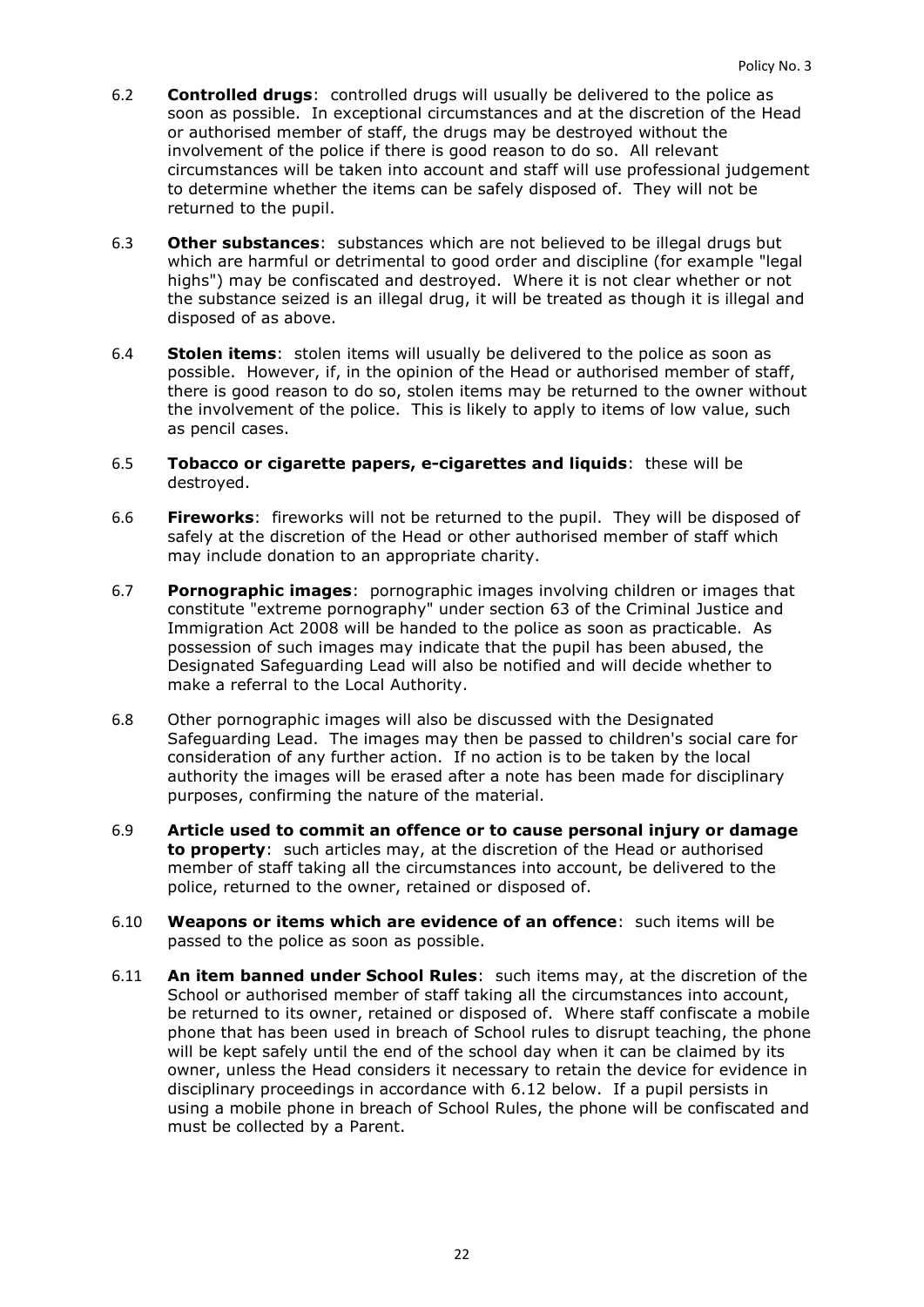- 6.2 **Controlled drugs**: controlled drugs will usually be delivered to the police as soon as possible. In exceptional circumstances and at the discretion of the Head or authorised member of staff, the drugs may be destroyed without the involvement of the police if there is good reason to do so. All relevant circumstances will be taken into account and staff will use professional judgement to determine whether the items can be safely disposed of. They will not be returned to the pupil.
- 6.3 **Other substances**: substances which are not believed to be illegal drugs but which are harmful or detrimental to good order and discipline (for example "legal highs") may be confiscated and destroyed. Where it is not clear whether or not the substance seized is an illegal drug, it will be treated as though it is illegal and disposed of as above.
- 6.4 **Stolen items**: stolen items will usually be delivered to the police as soon as possible. However, if, in the opinion of the Head or authorised member of staff, there is good reason to do so, stolen items may be returned to the owner without the involvement of the police. This is likely to apply to items of low value, such as pencil cases.
- 6.5 **Tobacco or cigarette papers, e-cigarettes and liquids**: these will be destroyed.
- 6.6 **Fireworks**: fireworks will not be returned to the pupil. They will be disposed of safely at the discretion of the Head or other authorised member of staff which may include donation to an appropriate charity.
- 6.7 **Pornographic images**: pornographic images involving children or images that constitute "extreme pornography" under section 63 of the Criminal Justice and Immigration Act 2008 will be handed to the police as soon as practicable. As possession of such images may indicate that the pupil has been abused, the Designated Safeguarding Lead will also be notified and will decide whether to make a referral to the Local Authority.
- 6.8 Other pornographic images will also be discussed with the Designated Safeguarding Lead. The images may then be passed to children's social care for consideration of any further action. If no action is to be taken by the local authority the images will be erased after a note has been made for disciplinary purposes, confirming the nature of the material.
- 6.9 **Article used to commit an offence or to cause personal injury or damage to property**: such articles may, at the discretion of the Head or authorised member of staff taking all the circumstances into account, be delivered to the police, returned to the owner, retained or disposed of.
- 6.10 **Weapons or items which are evidence of an offence**: such items will be passed to the police as soon as possible.
- <span id="page-21-0"></span>6.11 **An item banned under School Rules**: such items may, at the discretion of the School or authorised member of staff taking all the circumstances into account, be returned to its owner, retained or disposed of. Where staff confiscate a mobile phone that has been used in breach of School rules to disrupt teaching, the phone will be kept safely until the end of the school day when it can be claimed by its owner, unless the Head considers it necessary to retain the device for evidence in disciplinary proceedings in accordance with [6.12](#page-21-0) below. If a pupil persists in using a mobile phone in breach of School Rules, the phone will be confiscated and must be collected by a Parent.